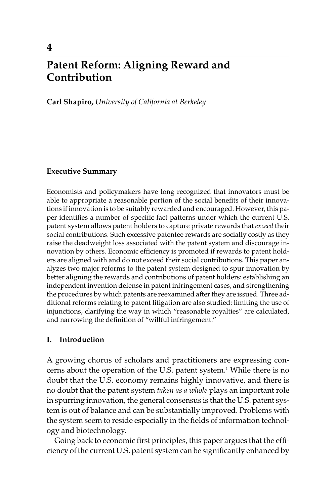# **Patent Reform: Aligning Reward and Contribution**

**Carl Shapiro,** *University of California at Berkeley*

# **Executive Summary**

Economists and policymakers have long recognized that innovators must be able to appropriate a reasonable portion of the social benefits of their innovations if innovation is to be suitably rewarded and encouraged. However, this paper identifies a number of specific fact patterns under which the current U.S. patent system allows patent holders to capture private rewards that *exceed* their social contributions. Such excessive patentee rewards are socially costly as they raise the deadweight loss associated with the patent system and discourage innovation by others. Economic efficiency is promoted if rewards to patent holders are aligned with and do not exceed their social contributions. This paper analyzes two major reforms to the patent system designed to spur innovation by better aligning the rewards and contributions of patent holders: establishing an independent invention defense in patent infringement cases, and strengthening the procedures by which patents are reexamined after they are issued. Three additional reforms relating to patent litigation are also studied: limiting the use of injunctions, clarifying the way in which "reasonable royalties" are calculated, and narrowing the definition of "willful infringement."

# **I. Introduction**

A growing chorus of scholars and practitioners are expressing concerns about the operation of the U.S. patent system.1 While there is no doubt that the U.S. economy remains highly innovative, and there is no doubt that the patent system *taken as a whole* plays an important role in spurring innovation, the general consensus is that the U.S. patent system is out of balance and can be substantially improved. Problems with the system seem to reside especially in the fields of information technology and biotechnology.

Going back to economic first principles, this paper argues that the efficiency of the current U.S. patent system can be significantly enhanced by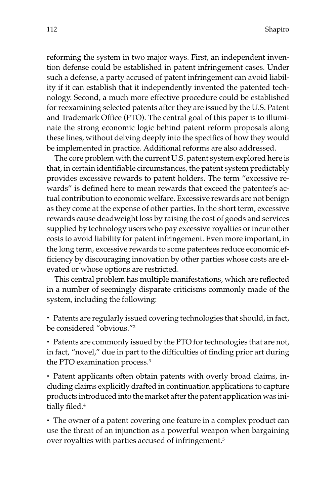reforming the system in two major ways. First, an independent invention defense could be established in patent infringement cases. Under such a defense, a party accused of patent infringement can avoid liability if it can establish that it independently invented the patented technology. Second, a much more effective procedure could be established for reexamining selected patents after they are issued by the U.S. Patent and Trademark Office (PTO). The central goal of this paper is to illuminate the strong economic logic behind patent reform proposals along these lines, without delving deeply into the specifics of how they would be implemented in practice. Additional reforms are also addressed.

The core problem with the current U.S. patent system explored here is that, in certain identifiable circumstances, the patent system predictably provides excessive rewards to patent holders. The term "excessive rewards" is defined here to mean rewards that exceed the patentee's actual contribution to economic welfare. Excessive rewards are not benign as they come at the expense of other parties. In the short term, excessive rewards cause deadweight loss by raising the cost of goods and services supplied by technology users who pay excessive royalties or incur other costs to avoid liability for patent infringement. Even more important, in the long term, excessive rewards to some patentees reduce economic efficiency by discouraging innovation by other parties whose costs are elevated or whose options are restricted.

This central problem has multiple manifestations, which are reflected in a number of seemingly disparate criticisms commonly made of the system, including the following:

• Patents are regularly issued covering technologies that should, in fact, be considered "obvious."2

• Patents are commonly issued by the PTO for technologies that are not, in fact, "novel," due in part to the difficulties of finding prior art during the PTO examination process.3

• Patent applicants often obtain patents with overly broad claims, including claims explicitly drafted in continuation applications to capture products introduced into the market after the patent application was initially filed.<sup>4</sup>

• The owner of a patent covering one feature in a complex product can use the threat of an injunction as a powerful weapon when bargaining over royalties with parties accused of infringement.5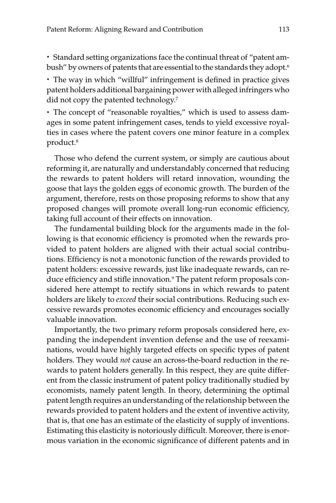• Standard setting organizations face the continual threat of "patent ambush" by owners of patents that are essential to the standards they adopt.<sup>6</sup>

• The way in which "willful" infringement is defined in practice gives patent holders additional bargaining power with alleged infringers who did not copy the patented technology.7

• The concept of "reasonable royalties," which is used to assess damages in some patent infringement cases, tends to yield excessive royalties in cases where the patent covers one minor feature in a complex product.8

Those who defend the current system, or simply are cautious about reforming it, are naturally and understandably concerned that reducing the rewards to patent holders will retard innovation, wounding the goose that lays the golden eggs of economic growth. The burden of the argument, therefore, rests on those proposing reforms to show that any proposed changes will promote overall long-run economic efficiency, taking full account of their effects on innovation.

The fundamental building block for the arguments made in the following is that economic efficiency is promoted when the rewards provided to patent holders are aligned with their actual social contributions. Efficiency is not a monotonic function of the rewards provided to patent holders: excessive rewards, just like inadequate rewards, can reduce efficiency and stifle innovation.<sup>9</sup> The patent reform proposals considered here attempt to rectify situations in which rewards to patent holders are likely to *exceed* their social contributions. Reducing such excessive rewards promotes economic efficiency and encourages socially valuable innovation.

Importantly, the two primary reform proposals considered here, expanding the independent invention defense and the use of reexaminations, would have highly targeted effects on specific types of patent holders. They would *not* cause an across-the-board reduction in the rewards to patent holders generally. In this respect, they are quite different from the classic instrument of patent policy traditionally studied by economists, namely patent length. In theory, determining the optimal patent length requires an understanding of the relationship between the rewards provided to patent holders and the extent of inventive activity, that is, that one has an estimate of the elasticity of supply of inventions. Estimating this elasticity is notoriously difficult. Moreover, there is enormous variation in the economic significance of different patents and in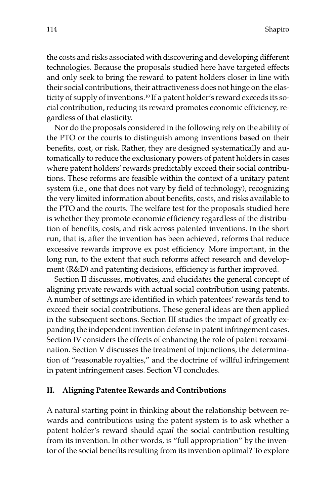the costs and risks associated with discovering and developing different technologies. Because the proposals studied here have targeted effects and only seek to bring the reward to patent holders closer in line with their social contributions, their attractiveness does not hinge on the elasticity of supply of inventions.10 If a patent holder's reward exceeds its social contribution, reducing its reward promotes economic efficiency, regardless of that elasticity.

Nor do the proposals considered in the following rely on the ability of the PTO or the courts to distinguish among inventions based on their benefits, cost, or risk. Rather, they are designed systematically and automatically to reduce the exclusionary powers of patent holders in cases where patent holders' rewards predictably exceed their social contributions. These reforms are feasible within the context of a unitary patent system (i.e., one that does not vary by field of technology), recognizing the very limited information about benefits, costs, and risks available to the PTO and the courts. The welfare test for the proposals studied here is whether they promote economic efficiency regardless of the distribution of benefits, costs, and risk across patented inventions. In the short run, that is, after the invention has been achieved, reforms that reduce excessive rewards improve ex post efficiency. More important, in the long run, to the extent that such reforms affect research and development (R&D) and patenting decisions, efficiency is further improved.

Section II discusses, motivates, and elucidates the general concept of aligning private rewards with actual social contribution using patents. A number of settings are identified in which patentees' rewards tend to exceed their social contributions. These general ideas are then applied in the subsequent sections. Section III studies the impact of greatly expanding the independent invention defense in patent infringement cases. Section IV considers the effects of enhancing the role of patent reexamination. Section V discusses the treatment of injunctions, the determination of "reasonable royalties," and the doctrine of willful infringement in patent infringement cases. Section VI concludes.

#### **II. Aligning Patentee Rewards and Contributions**

A natural starting point in thinking about the relationship between rewards and contributions using the patent system is to ask whether a patent holder's reward should *equal* the social contribution resulting from its invention. In other words, is "full appropriation" by the inventor of the social benefits resulting from its invention optimal? To explore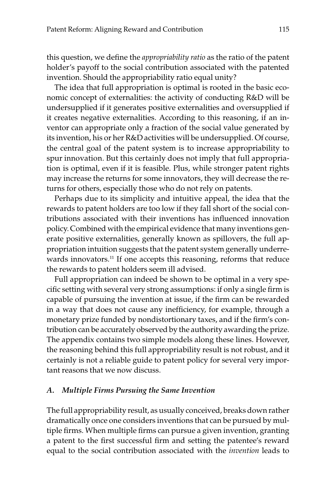this question, we define the *appropriability ratio* as the ratio of the patent holder's payoff to the social contribution associated with the patented invention. Should the appropriability ratio equal unity?

The idea that full appropriation is optimal is rooted in the basic economic concept of externalities: the activity of conducting R&D will be undersupplied if it generates positive externalities and oversupplied if it creates negative externalities. According to this reasoning, if an inventor can appropriate only a fraction of the social value generated by its invention, his or her R&D activities will be undersupplied. Of course, the central goal of the patent system is to increase appropriability to spur innovation. But this certainly does not imply that full appropriation is optimal, even if it is feasible. Plus, while stronger patent rights may increase the returns for some innovators, they will decrease the returns for others, especially those who do not rely on patents.

Perhaps due to its simplicity and intuitive appeal, the idea that the rewards to patent holders are too low if they fall short of the social contributions associated with their inventions has influenced innovation policy. Combined with the empirical evidence that many inventions generate positive externalities, generally known as spillovers, the full appropriation intuition suggests that the patent system generally underrewards innovators.<sup>11</sup> If one accepts this reasoning, reforms that reduce the rewards to patent holders seem ill advised.

Full appropriation can indeed be shown to be optimal in a very specific setting with several very strong assumptions: if only a single firm is capable of pursuing the invention at issue, if the firm can be rewarded in a way that does not cause any inefficiency, for example, through a monetary prize funded by nondistortionary taxes, and if the firm's contribution can be accurately observed by the authority awarding the prize. The appendix contains two simple models along these lines. However, the reasoning behind this full appropriability result is not robust, and it certainly is not a reliable guide to patent policy for several very important reasons that we now discuss.

# *A. Multiple Firms Pursuing the Same Invention*

The full appropriability result, as usually conceived, breaks down rather dramatically once one considers inventions that can be pursued by multiple firms. When multiple firms can pursue a given invention, granting a patent to the first successful firm and setting the patentee's reward equal to the social contribution associated with the *invention* leads to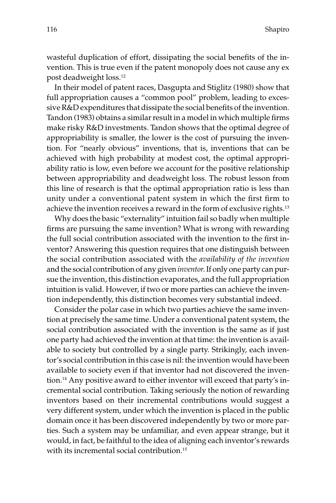wasteful duplication of effort, dissipating the social benefits of the invention. This is true even if the patent monopoly does not cause any ex post deadweight loss.12

In their model of patent races, Dasgupta and Stiglitz (1980) show that full appropriation causes a "common pool" problem, leading to excessive R&D expenditures that dissipate the social benefits of the invention. Tandon (1983) obtains a similar result in a model in which multiple firms make risky R&D investments. Tandon shows that the optimal degree of appropriability is smaller, the lower is the cost of pursuing the invention. For "nearly obvious" inventions, that is, inventions that can be achieved with high probability at modest cost, the optimal appropriability ratio is low, even before we account for the positive relationship between appropriability and deadweight loss. The robust lesson from this line of research is that the optimal appropriation ratio is less than unity under a conventional patent system in which the first firm to achieve the invention receives a reward in the form of exclusive rights.<sup>13</sup>

Why does the basic "externality" intuition fail so badly when multiple firms are pursuing the same invention? What is wrong with rewarding the full social contribution associated with the invention to the first inventor? Answering this question requires that one distinguish between the social contribution associated with the *availability of the invention* and the social contribution of any given *inventor.*If only one party can pursue the invention, this distinction evaporates, and the full appropriation intuition is valid. However, if two or more parties can achieve the invention independently, this distinction becomes very substantial indeed.

Consider the polar case in which two parties achieve the same invention at precisely the same time. Under a conventional patent system, the social contribution associated with the invention is the same as if just one party had achieved the invention at that time: the invention is available to society but controlled by a single party. Strikingly, each inventor's social contribution in this case is nil: the invention would have been available to society even if that inventor had not discovered the invention.14 Any positive award to either inventor will exceed that party's incremental social contribution. Taking seriously the notion of rewarding inventors based on their incremental contributions would suggest a very different system, under which the invention is placed in the public domain once it has been discovered independently by two or more parties. Such a system may be unfamiliar, and even appear strange, but it would, in fact, be faithful to the idea of aligning each inventor's rewards with its incremental social contribution.<sup>15</sup>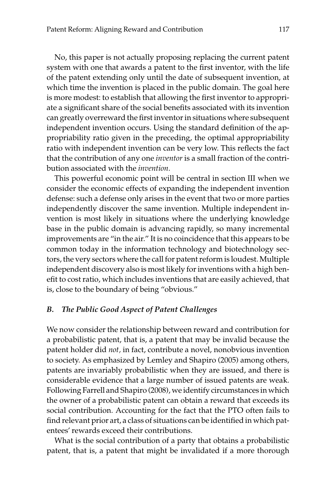No, this paper is not actually proposing replacing the current patent system with one that awards a patent to the first inventor, with the life of the patent extending only until the date of subsequent invention, at which time the invention is placed in the public domain. The goal here is more modest: to establish that allowing the first inventor to appropriate a significant share of the social benefits associated with its invention can greatly overreward the first inventor in situations where subsequent independent invention occurs. Using the standard definition of the appropriability ratio given in the preceding, the optimal appropriability ratio with independent invention can be very low. This reflects the fact that the contribution of any one *inventor* is a small fraction of the contribution associated with the *invention.*

This powerful economic point will be central in section III when we consider the economic effects of expanding the independent invention defense: such a defense only arises in the event that two or more parties independently discover the same invention. Multiple independent invention is most likely in situations where the underlying knowledge base in the public domain is advancing rapidly, so many incremental improvements are "in the air." It is no coincidence that this appears to be common today in the information technology and biotechnology sectors, the very sectors where the call for patent reform is loudest. Multiple independent discovery also is most likely for inventions with a high benefit to cost ratio, which includes inventions that are easily achieved, that is, close to the boundary of being "obvious."

#### *B. The Public Good Aspect of Patent Challenges*

We now consider the relationship between reward and contribution for a probabilistic patent, that is, a patent that may be invalid because the patent holder did *not,* in fact, contribute a novel, nonobvious invention to society. As emphasized by Lemley and Shapiro (2005) among others, patents are invariably probabilistic when they are issued, and there is considerable evidence that a large number of issued patents are weak. Following Farrell and Shapiro (2008), we identify circumstances in which the owner of a probabilistic patent can obtain a reward that exceeds its social contribution. Accounting for the fact that the PTO often fails to find relevant prior art, a class of situations can be identified in which patentees' rewards exceed their contributions.

What is the social contribution of a party that obtains a probabilistic patent, that is, a patent that might be invalidated if a more thorough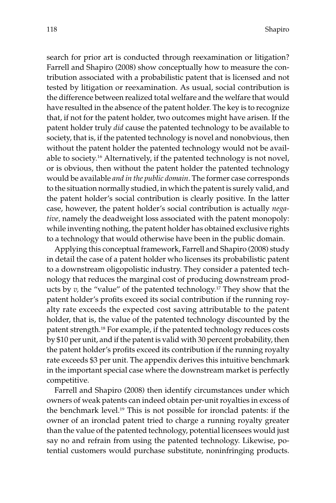search for prior art is conducted through reexamination or litigation? Farrell and Shapiro (2008) show conceptually how to measure the contribution associated with a probabilistic patent that is licensed and not tested by litigation or reexamination. As usual, social contribution is the difference between realized total welfare and the welfare that would have resulted in the absence of the patent holder. The key is to recognize that, if not for the patent holder, two outcomes might have arisen. If the patent holder truly *did* cause the patented technology to be available to society, that is, if the patented technology is novel and nonobvious, then without the patent holder the patented technology would not be available to society.16 Alternatively, if the patented technology is not novel, or is obvious, then without the patent holder the patented technology would be available *and in the public domain.* The former case corresponds to the situation normally studied, in which the patent is surely valid, and the patent holder's social contribution is clearly positive. In the latter case, however, the patent holder's social contribution is actually *negative,* namely the deadweight loss associated with the patent monopoly: while inventing nothing, the patent holder has obtained exclusive rights to a technology that would otherwise have been in the public domain.

Applying this conceptual framework, Farrell and Shapiro (2008) study in detail the case of a patent holder who licenses its probabilistic patent to a downstream oligopolistic industry. They consider a patented technology that reduces the marginal cost of producing downstream products by *v,* the "value" of the patented technology.17 They show that the patent holder's profits exceed its social contribution if the running royalty rate exceeds the expected cost saving attributable to the patent holder, that is, the value of the patented technology discounted by the patent strength.18 For example, if the patented technology reduces costs by \$10 per unit, and if the patent is valid with 30 percent probability, then the patent holder's profits exceed its contribution if the running royalty rate exceeds \$3 per unit. The appendix derives this intuitive benchmark in the important special case where the downstream market is perfectly competitive.

Farrell and Shapiro (2008) then identify circumstances under which owners of weak patents can indeed obtain per-unit royalties in excess of the benchmark level.<sup>19</sup> This is not possible for ironclad patents: if the owner of an ironclad patent tried to charge a running royalty greater than the value of the patented technology, potential licensees would just say no and refrain from using the patented technology. Likewise, potential customers would purchase substitute, noninfringing products.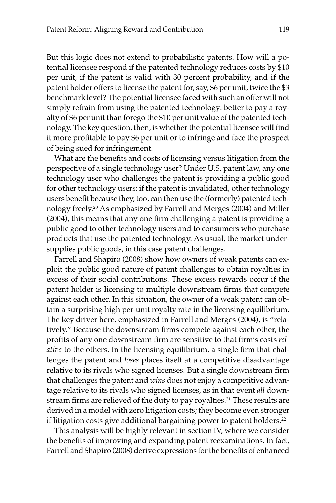But this logic does not extend to probabilistic patents. How will a potential licensee respond if the patented technology reduces costs by \$10 per unit, if the patent is valid with 30 percent probability, and if the patent holder offers to license the patent for, say, \$6 per unit, twice the \$3 benchmark level? The potential licensee faced with such an offer will not simply refrain from using the patented technology: better to pay a royalty of \$6 per unit than forego the \$10 per unit value of the patented technology. The key question, then, is whether the potential licensee will find it more profitable to pay \$6 per unit or to infringe and face the prospect of being sued for infringement.

What are the benefits and costs of licensing versus litigation from the perspective of a single technology user? Under U.S. patent law, any one technology user who challenges the patent is providing a public good for other technology users: if the patent is invalidated, other technology users benefit because they, too, can then use the (formerly) patented technology freely.20 As emphasized by Farrell and Merges (2004) and Miller (2004), this means that any one firm challenging a patent is providing a public good to other technology users and to consumers who purchase products that use the patented technology. As usual, the market undersupplies public goods, in this case patent challenges.

Farrell and Shapiro (2008) show how owners of weak patents can exploit the public good nature of patent challenges to obtain royalties in excess of their social contributions. These excess rewards occur if the patent holder is licensing to multiple downstream firms that compete against each other. In this situation, the owner of a weak patent can obtain a surprising high per-unit royalty rate in the licensing equilibrium. The key driver here, emphasized in Farrell and Merges (2004), is "relatively." Because the downstream firms compete against each other, the profits of any one downstream firm are sensitive to that firm's costs *relative* to the others. In the licensing equilibrium, a single firm that challenges the patent and *loses* places itself at a competitive disadvantage relative to its rivals who signed licenses. But a single downstream firm that challenges the patent and *wins* does not enjoy a competitive advantage relative to its rivals who signed licenses, as in that event *all* downstream firms are relieved of the duty to pay royalties.<sup>21</sup> These results are derived in a model with zero litigation costs; they become even stronger if litigation costs give additional bargaining power to patent holders.<sup>22</sup>

This analysis will be highly relevant in section IV, where we consider the benefits of improving and expanding patent reexaminations. In fact, Farrell and Shapiro (2008) derive expressions for the benefits of enhanced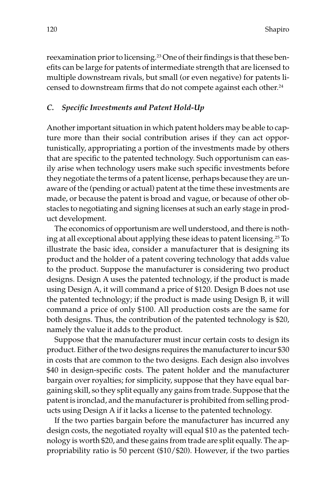reexamination prior to licensing.23 One of their findings is that these benefits can be large for patents of intermediate strength that are licensed to multiple downstream rivals, but small (or even negative) for patents licensed to downstream firms that do not compete against each other.24

#### *C. Specific Investments and Patent Hold-Up*

Another important situation in which patent holders may be able to capture more than their social contribution arises if they can act opportunistically, appropriating a portion of the investments made by others that are specific to the patented technology. Such opportunism can easily arise when technology users make such specific investments before they negotiate the terms of a patent license, perhaps because they are unaware of the (pending or actual) patent at the time these investments are made, or because the patent is broad and vague, or because of other obstacles to negotiating and signing licenses at such an early stage in product development.

The economics of opportunism are well understood, and there is nothing at all exceptional about applying these ideas to patent licensing.25 To illustrate the basic idea, consider a manufacturer that is designing its product and the holder of a patent covering technology that adds value to the product. Suppose the manufacturer is considering two product designs. Design A uses the patented technology, if the product is made using Design A, it will command a price of \$120. Design B does not use the patented technology; if the product is made using Design B, it will command a price of only \$100. All production costs are the same for both designs. Thus, the contribution of the patented technology is \$20, namely the value it adds to the product.

Suppose that the manufacturer must incur certain costs to design its product. Either of the two designs requires the manufacturer to incur \$30 in costs that are common to the two designs. Each design also involves \$40 in design-specific costs. The patent holder and the manufacturer bargain over royalties; for simplicity, suppose that they have equal bargaining skill, so they split equally any gains from trade. Suppose that the patent is ironclad, and the manufacturer is prohibited from selling products using Design A if it lacks a license to the patented technology.

If the two parties bargain before the manufacturer has incurred any design costs, the negotiated royalty will equal \$10 as the patented technology is worth \$20, and these gains from trade are split equally. The appropriability ratio is 50 percent (\$10/\$20). However, if the two parties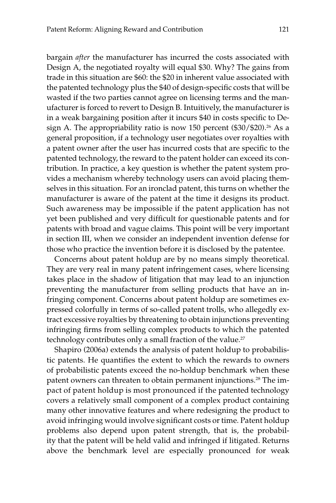bargain *after* the manufacturer has incurred the costs associated with Design A, the negotiated royalty will equal \$30. Why? The gains from trade in this situation are \$60: the \$20 in inherent value associated with the patented technology plus the \$40 of design-specific costs that will be wasted if the two parties cannot agree on licensing terms and the manufacturer is forced to revert to Design B. Intuitively, the manufacturer is in a weak bargaining position after it incurs \$40 in costs specific to Design A. The appropriability ratio is now 150 percent  $(\$30/\$20$ .<sup>26</sup> As a general proposition, if a technology user negotiates over royalties with a patent owner after the user has incurred costs that are specific to the patented technology, the reward to the patent holder can exceed its contribution. In practice, a key question is whether the patent system provides a mechanism whereby technology users can avoid placing themselves in this situation. For an ironclad patent, this turns on whether the manufacturer is aware of the patent at the time it designs its product. Such awareness may be impossible if the patent application has not yet been published and very difficult for questionable patents and for patents with broad and vague claims. This point will be very important in section III, when we consider an independent invention defense for those who practice the invention before it is disclosed by the patentee.

Concerns about patent holdup are by no means simply theoretical. They are very real in many patent infringement cases, where licensing takes place in the shadow of litigation that may lead to an injunction preventing the manufacturer from selling products that have an infringing component. Concerns about patent holdup are sometimes expressed colorfully in terms of so-called patent trolls, who allegedly extract excessive royalties by threatening to obtain injunctions preventing infringing firms from selling complex products to which the patented technology contributes only a small fraction of the value.<sup>27</sup>

Shapiro (2006a) extends the analysis of patent holdup to probabilistic patents. He quantifies the extent to which the rewards to owners of probabilistic patents exceed the no-holdup benchmark when these patent owners can threaten to obtain permanent injunctions.<sup>28</sup> The impact of patent holdup is most pronounced if the patented technology covers a relatively small component of a complex product containing many other innovative features and where redesigning the product to avoid infringing would involve significant costs or time. Patent holdup problems also depend upon patent strength, that is, the probability that the patent will be held valid and infringed if litigated. Returns above the benchmark level are especially pronounced for weak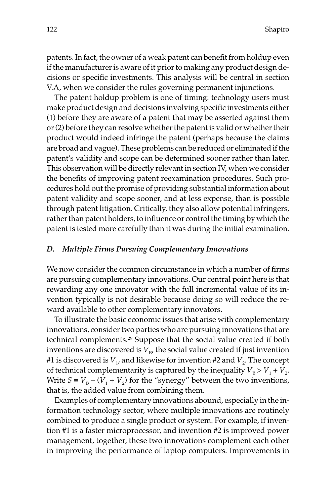patents. In fact, the owner of a weak patent can benefit from holdup even if the manufacturer is aware of it prior to making any product design decisions or specific investments. This analysis will be central in section V.A, when we consider the rules governing permanent injunctions.

The patent holdup problem is one of timing: technology users must make product design and decisions involving specific investments either (1) before they are aware of a patent that may be asserted against them or (2) before they can resolve whether the patent is valid or whether their product would indeed infringe the patent (perhaps because the claims are broad and vague). These problems can be reduced or eliminated if the patent's validity and scope can be determined sooner rather than later. This observation will be directly relevant in section IV, when we consider the benefits of improving patent reexamination procedures. Such procedures hold out the promise of providing substantial information about patent validity and scope sooner, and at less expense, than is possible through patent litigation. Critically, they also allow potential infringers, rather than patent holders, to influence or control the timing by which the patent is tested more carefully than it was during the initial examination.

#### *D. Multiple Firms Pursuing Complementary Innovations*

We now consider the common circumstance in which a number of firms are pursuing complementary innovations. Our central point here is that rewarding any one innovator with the full incremental value of its invention typically is not desirable because doing so will reduce the reward available to other complementary innovators.

To illustrate the basic economic issues that arise with complementary innovations, consider two parties who are pursuing innovations that are technical complements.<sup>29</sup> Suppose that the social value created if both inventions are discovered is  $V_{\rm B}$ , the social value created if just invention #1 is discovered is  $V_1$ , and likewise for invention #2 and  $V_2$ . The concept of technical complementarity is captured by the inequality  $V_B > V_1 + V_2$ . Write  $S = V_B - (V_1 + V_2)$  for the "synergy" between the two inventions, that is, the added value from combining them.

Examples of complementary innovations abound, especially in the information technology sector, where multiple innovations are routinely combined to produce a single product or system. For example, if invention #1 is a faster microprocessor, and invention #2 is improved power management, together, these two innovations complement each other in improving the performance of laptop computers. Improvements in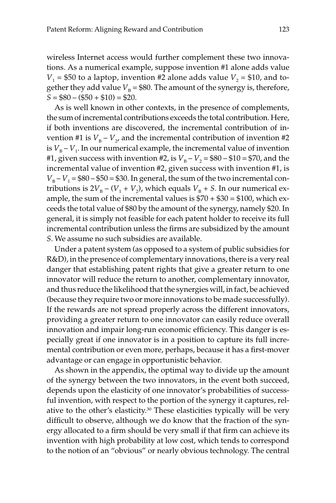wireless Internet access would further complement these two innovations. As a numerical example, suppose invention #1 alone adds value  $V_1$  = \$50 to a laptop, invention #2 alone adds value  $V_2$  = \$10, and together they add value  $V_B = $80$ . The amount of the synergy is, therefore,  $S = $80 - ($50 + $10) = $20.$ 

As is well known in other contexts, in the presence of complements, the sum of incremental contributions exceeds the total contribution. Here, if both inventions are discovered, the incremental contribution of invention #1 is  $V_{\text{B}} - V_{\gamma}$ , and the incremental contribution of invention #2 is  $V_{\rm B} - V_1$ . In our numerical example, the incremental value of invention #1, given success with invention #2, is  $V_B - V_2 = $80 - $10 = $70$ , and the incremental value of invention #2, given success with invention #1, is  $V_{\rm B} - V_1 = $80 - $50 = $30$ . In general, the sum of the two incremental contributions is  $2V_{\rm B} - (V_1 + V_2)$ , which equals  $V_{\rm B} + S$ . In our numerical example, the sum of the incremental values is  $$70 + $30 = $100$ , which exceeds the total value of \$80 by the amount of the synergy, namely \$20. In general, it is simply not feasible for each patent holder to receive its full incremental contribution unless the firms are subsidized by the amount *S.* We assume no such subsidies are available.

Under a patent system (as opposed to a system of public subsidies for R&D), in the presence of complementary innovations, there is a very real danger that establishing patent rights that give a greater return to one innovator will reduce the return to another, complementary innovator, and thus reduce the likelihood that the synergies will, in fact, be achieved (because they require two or more innovations to be made successfully). If the rewards are not spread properly across the different innovators, providing a greater return to one innovator can easily reduce overall innovation and impair long-run economic efficiency. This danger is especially great if one innovator is in a position to capture its full incremental contribution or even more, perhaps, because it has a first-mover advantage or can engage in opportunistic behavior.

As shown in the appendix, the optimal way to divide up the amount of the synergy between the two innovators, in the event both succeed, depends upon the elasticity of one innovator's probabilities of successful invention, with respect to the portion of the synergy it captures, relative to the other's elasticity.30 These elasticities typically will be very difficult to observe, although we do know that the fraction of the synergy allocated to a firm should be very small if that firm can achieve its invention with high probability at low cost, which tends to correspond to the notion of an "obvious" or nearly obvious technology. The central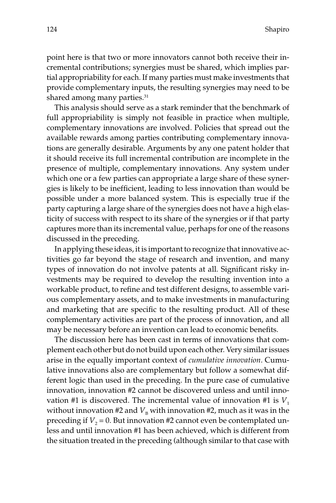point here is that two or more innovators cannot both receive their incremental contributions; synergies must be shared, which implies partial appropriability for each. If many parties must make investments that provide complementary inputs, the resulting synergies may need to be shared among many parties.<sup>31</sup>

This analysis should serve as a stark reminder that the benchmark of full appropriability is simply not feasible in practice when multiple, complementary innovations are involved. Policies that spread out the available rewards among parties contributing complementary innovations are generally desirable. Arguments by any one patent holder that it should receive its full incremental contribution are incomplete in the presence of multiple, complementary innovations. Any system under which one or a few parties can appropriate a large share of these synergies is likely to be inefficient, leading to less innovation than would be possible under a more balanced system. This is especially true if the party capturing a large share of the synergies does not have a high elasticity of success with respect to its share of the synergies or if that party captures more than its incremental value, perhaps for one of the reasons discussed in the preceding.

In applying these ideas, it is important to recognize that innovative activities go far beyond the stage of research and invention, and many types of innovation do not involve patents at all. Significant risky investments may be required to develop the resulting invention into a workable product, to refine and test different designs, to assemble various complementary assets, and to make investments in manufacturing and marketing that are specific to the resulting product. All of these complementary activities are part of the process of innovation, and all may be necessary before an invention can lead to economic benefits.

The discussion here has been cast in terms of innovations that complement each other but do not build upon each other. Very similar issues arise in the equally important context of *cumulative innovation.* Cumulative innovations also are complementary but follow a somewhat different logic than used in the preceding. In the pure case of cumulative innovation, innovation #2 cannot be discovered unless and until innovation #1 is discovered. The incremental value of innovation #1 is  $V_1$ without innovation #2 and  $V_B$  with innovation #2, much as it was in the preceding if  $V_2$  = 0. But innovation #2 cannot even be contemplated unless and until innovation #1 has been achieved, which is different from the situation treated in the preceding (although similar to that case with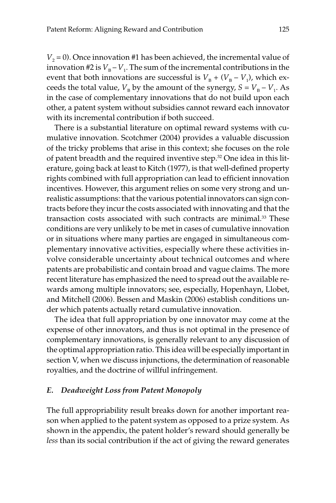$V_2$  = 0). Once innovation #1 has been achieved, the incremental value of innovation #2 is  $V_{\text{B}} - V_1$ . The sum of the incremental contributions in the event that both innovations are successful is  $V_{\text{B}} + (V_{\text{B}} - V_{1})$ , which exceeds the total value,  $V_B$  by the amount of the synergy,  $S = V_B - V_1$ . As in the case of complementary innovations that do not build upon each other, a patent system without subsidies cannot reward each innovator with its incremental contribution if both succeed.

There is a substantial literature on optimal reward systems with cumulative innovation. Scotchmer (2004) provides a valuable discussion of the tricky problems that arise in this context; she focuses on the role of patent breadth and the required inventive step.32 One idea in this literature, going back at least to Kitch (1977), is that well-defined property rights combined with full appropriation can lead to efficient innovation incentives. However, this argument relies on some very strong and unrealistic assumptions: that the various potential innovators can sign contracts before they incur the costs associated with innovating and that the transaction costs associated with such contracts are minimal.<sup>33</sup> These conditions are very unlikely to be met in cases of cumulative innovation or in situations where many parties are engaged in simultaneous complementary innovative activities, especially where these activities involve considerable uncertainty about technical outcomes and where patents are probabilistic and contain broad and vague claims. The more recent literature has emphasized the need to spread out the available rewards among multiple innovators; see, especially, Hopenhayn, Llobet, and Mitchell (2006). Bessen and Maskin (2006) establish conditions under which patents actually retard cumulative innovation.

The idea that full appropriation by one innovator may come at the expense of other innovators, and thus is not optimal in the presence of complementary innovations, is generally relevant to any discussion of the optimal appropriation ratio. This idea will be especially important in section V, when we discuss injunctions, the determination of reasonable royalties, and the doctrine of willful infringement.

# *E. Deadweight Loss from Patent Monopoly*

The full appropriability result breaks down for another important reason when applied to the patent system as opposed to a prize system. As shown in the appendix, the patent holder's reward should generally be *less* than its social contribution if the act of giving the reward generates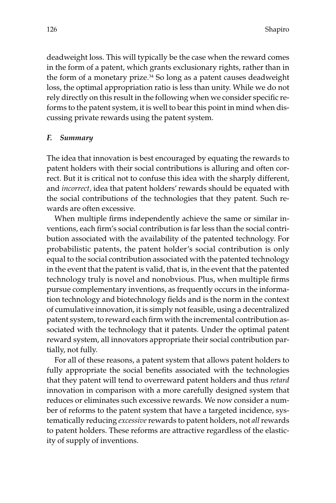deadweight loss. This will typically be the case when the reward comes in the form of a patent, which grants exclusionary rights, rather than in the form of a monetary prize.<sup>34</sup> So long as a patent causes deadweight loss, the optimal appropriation ratio is less than unity. While we do not rely directly on this result in the following when we consider specific reforms to the patent system, it is well to bear this point in mind when discussing private rewards using the patent system.

#### *F. Summary*

The idea that innovation is best encouraged by equating the rewards to patent holders with their social contributions is alluring and often correct. But it is critical not to confuse this idea with the sharply different, and *incorrect,* idea that patent holders' rewards should be equated with the social contributions of the technologies that they patent. Such rewards are often excessive.

When multiple firms independently achieve the same or similar inventions, each firm's social contribution is far less than the social contribution associated with the availability of the patented technology. For probabilistic patents, the patent holder's social contribution is only equal to the social contribution associated with the patented technology in the event that the patent is valid, that is, in the event that the patented technology truly is novel and nonobvious. Plus, when multiple firms pursue complementary inventions, as frequently occurs in the information technology and biotechnology fields and is the norm in the context of cumulative innovation, it is simply not feasible, using a decentralized patent system, to reward each firm with the incremental contribution associated with the technology that it patents. Under the optimal patent reward system, all innovators appropriate their social contribution partially, not fully.

For all of these reasons, a patent system that allows patent holders to fully appropriate the social benefits associated with the technologies that they patent will tend to overreward patent holders and thus *retard* innovation in comparison with a more carefully designed system that reduces or eliminates such excessive rewards. We now consider a number of reforms to the patent system that have a targeted incidence, systematically reducing *excessive*rewards to patent holders, not *all*rewards to patent holders. These reforms are attractive regardless of the elasticity of supply of inventions.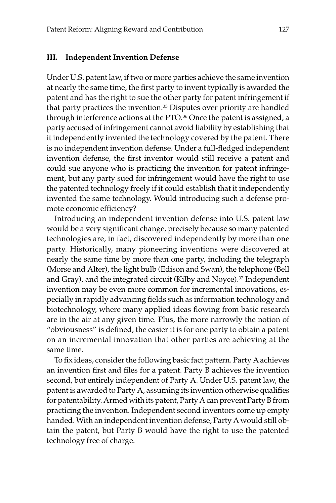#### **III. Independent Invention Defense**

Under U.S. patent law, if two or more parties achieve the same invention at nearly the same time, the first party to invent typically is awarded the patent and has the right to sue the other party for patent infringement if that party practices the invention.<sup>35</sup> Disputes over priority are handled through interference actions at the PTO.<sup>36</sup> Once the patent is assigned, a party accused of infringement cannot avoid liability by establishing that it independently invented the technology covered by the patent. There is no independent invention defense. Under a full-fledged independent invention defense, the first inventor would still receive a patent and could sue anyone who is practicing the invention for patent infringement, but any party sued for infringement would have the right to use the patented technology freely if it could establish that it independently invented the same technology. Would introducing such a defense promote economic efficiency?

Introducing an independent invention defense into U.S. patent law would be a very significant change, precisely because so many patented technologies are, in fact, discovered independently by more than one party. Historically, many pioneering inventions were discovered at nearly the same time by more than one party, including the telegraph (Morse and Alter), the light bulb (Edison and Swan), the telephone (Bell and Gray), and the integrated circuit (Kilby and Noyce).<sup>37</sup> Independent invention may be even more common for incremental innovations, especially in rapidly advancing fields such as information technology and biotechnology, where many applied ideas flowing from basic research are in the air at any given time. Plus, the more narrowly the notion of "obviousness" is defined, the easier it is for one party to obtain a patent on an incremental innovation that other parties are achieving at the same time.

To fix ideas, consider the following basic fact pattern. Party A achieves an invention first and files for a patent. Party B achieves the invention second, but entirely independent of Party A. Under U.S. patent law, the patent is awarded to Party A, assuming its invention otherwise qualifies for patentability. Armed with its patent, Party A can prevent Party B from practicing the invention. Independent second inventors come up empty handed. With an independent invention defense, Party A would still obtain the patent, but Party B would have the right to use the patented technology free of charge.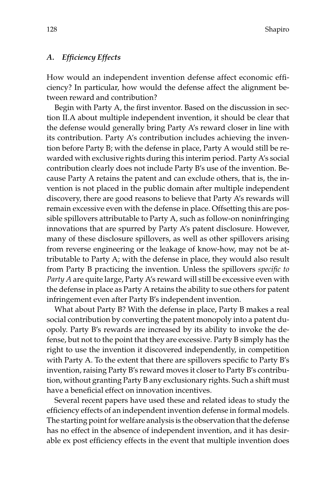#### *A. Efficiency Effects*

How would an independent invention defense affect economic efficiency? In particular, how would the defense affect the alignment between reward and contribution?

Begin with Party A, the first inventor. Based on the discussion in section II.A about multiple independent invention, it should be clear that the defense would generally bring Party A's reward closer in line with its contribution. Party A's contribution includes achieving the invention before Party B; with the defense in place, Party A would still be rewarded with exclusive rights during this interim period. Party A's social contribution clearly does not include Party B's use of the invention. Because Party A retains the patent and can exclude others, that is, the invention is not placed in the public domain after multiple independent discovery, there are good reasons to believe that Party A's rewards will remain excessive even with the defense in place. Offsetting this are possible spillovers attributable to Party A, such as follow-on noninfringing innovations that are spurred by Party A's patent disclosure. However, many of these disclosure spillovers, as well as other spillovers arising from reverse engineering or the leakage of know-how, may not be attributable to Party A; with the defense in place, they would also result from Party B practicing the invention. Unless the spillovers *specific to Party A* are quite large, Party A's reward will still be excessive even with the defense in place as Party A retains the ability to sue others for patent infringement even after Party B's independent invention.

What about Party B? With the defense in place, Party B makes a real social contribution by converting the patent monopoly into a patent duopoly. Party B's rewards are increased by its ability to invoke the defense, but not to the point that they are excessive. Party B simply has the right to use the invention it discovered independently, in competition with Party A. To the extent that there are spillovers specific to Party B's invention, raising Party B's reward moves it closer to Party B's contribution, without granting Party B any exclusionary rights. Such a shift must have a beneficial effect on innovation incentives.

Several recent papers have used these and related ideas to study the efficiency effects of an independent invention defense in formal models. The starting point for welfare analysis is the observation that the defense has no effect in the absence of independent invention, and it has desirable ex post efficiency effects in the event that multiple invention does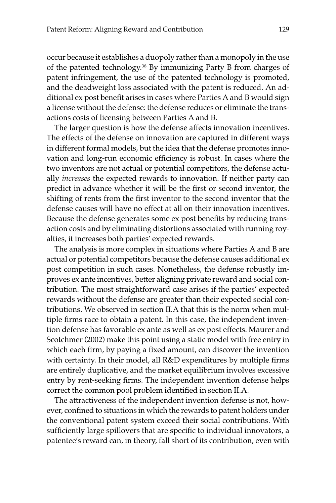occur because it establishes a duopoly rather than a monopoly in the use of the patented technology.38 By immunizing Party B from charges of patent infringement, the use of the patented technology is promoted, and the deadweight loss associated with the patent is reduced. An additional ex post benefit arises in cases where Parties A and B would sign a license without the defense: the defense reduces or eliminate the transactions costs of licensing between Parties A and B.

The larger question is how the defense affects innovation incentives. The effects of the defense on innovation are captured in different ways in different formal models, but the idea that the defense promotes innovation and long-run economic efficiency is robust. In cases where the two inventors are not actual or potential competitors, the defense actually *increases* the expected rewards to innovation. If neither party can predict in advance whether it will be the first or second inventor, the shifting of rents from the first inventor to the second inventor that the defense causes will have no effect at all on their innovation incentives. Because the defense generates some ex post benefits by reducing transaction costs and by eliminating distortions associated with running royalties, it increases both parties' expected rewards.

The analysis is more complex in situations where Parties A and B are actual or potential competitors because the defense causes additional ex post competition in such cases. Nonetheless, the defense robustly improves ex ante incentives, better aligning private reward and social contribution. The most straightforward case arises if the parties' expected rewards without the defense are greater than their expected social contributions. We observed in section II.A that this is the norm when multiple firms race to obtain a patent. In this case, the independent invention defense has favorable ex ante as well as ex post effects. Maurer and Scotchmer (2002) make this point using a static model with free entry in which each firm, by paying a fixed amount, can discover the invention with certainty. In their model, all R&D expenditures by multiple firms are entirely duplicative, and the market equilibrium involves excessive entry by rent-seeking firms. The independent invention defense helps correct the common pool problem identified in section II.A.

The attractiveness of the independent invention defense is not, however, confined to situations in which the rewards to patent holders under the conventional patent system exceed their social contributions. With sufficiently large spillovers that are specific to individual innovators, a patentee's reward can, in theory, fall short of its contribution, even with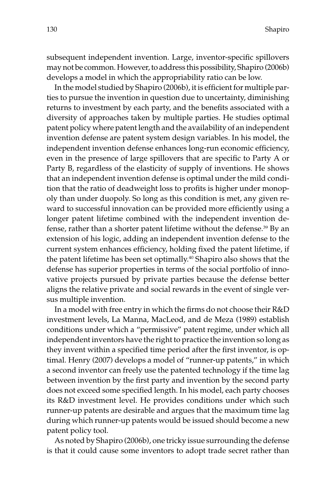subsequent independent invention. Large, inventor-specific spillovers may not be common. However, to address this possibility, Shapiro (2006b) develops a model in which the appropriability ratio can be low.

In the model studied by Shapiro (2006b), it is efficient for multiple parties to pursue the invention in question due to uncertainty, diminishing returns to investment by each party, and the benefits associated with a diversity of approaches taken by multiple parties. He studies optimal patent policy where patent length and the availability of an independent invention defense are patent system design variables. In his model, the independent invention defense enhances long-run economic efficiency, even in the presence of large spillovers that are specific to Party A or Party B, regardless of the elasticity of supply of inventions. He shows that an independent invention defense is optimal under the mild condition that the ratio of deadweight loss to profits is higher under monopoly than under duopoly. So long as this condition is met, any given reward to successful innovation can be provided more efficiently using a longer patent lifetime combined with the independent invention defense, rather than a shorter patent lifetime without the defense.<sup>39</sup> By an extension of his logic, adding an independent invention defense to the current system enhances efficiency, holding fixed the patent lifetime, if the patent lifetime has been set optimally.<sup>40</sup> Shapiro also shows that the defense has superior properties in terms of the social portfolio of innovative projects pursued by private parties because the defense better aligns the relative private and social rewards in the event of single versus multiple invention.

In a model with free entry in which the firms do not choose their R&D investment levels, La Manna, MacLeod, and de Meza (1989) establish conditions under which a "permissive" patent regime, under which all independent inventors have the right to practice the invention so long as they invent within a specified time period after the first inventor, is optimal. Henry (2007) develops a model of "runner-up patents," in which a second inventor can freely use the patented technology if the time lag between invention by the first party and invention by the second party does not exceed some specified length. In his model, each party chooses its R&D investment level. He provides conditions under which such runner-up patents are desirable and argues that the maximum time lag during which runner-up patents would be issued should become a new patent policy tool.

As noted by Shapiro (2006b), one tricky issue surrounding the defense is that it could cause some inventors to adopt trade secret rather than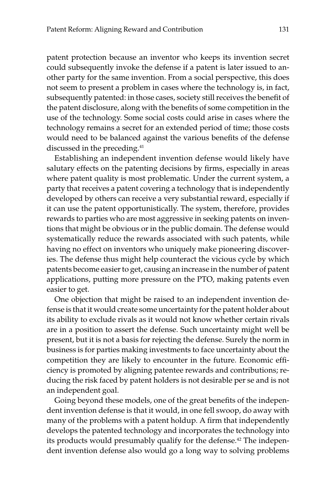patent protection because an inventor who keeps its invention secret could subsequently invoke the defense if a patent is later issued to another party for the same invention. From a social perspective, this does not seem to present a problem in cases where the technology is, in fact, subsequently patented: in those cases, society still receives the benefit of the patent disclosure, along with the benefits of some competition in the use of the technology. Some social costs could arise in cases where the technology remains a secret for an extended period of time; those costs would need to be balanced against the various benefits of the defense discussed in the preceding.41

Establishing an independent invention defense would likely have salutary effects on the patenting decisions by firms, especially in areas where patent quality is most problematic. Under the current system, a party that receives a patent covering a technology that is independently developed by others can receive a very substantial reward, especially if it can use the patent opportunistically. The system, therefore, provides rewards to parties who are most aggressive in seeking patents on inventions that might be obvious or in the public domain. The defense would systematically reduce the rewards associated with such patents, while having no effect on inventors who uniquely make pioneering discoveries. The defense thus might help counteract the vicious cycle by which patents become easier to get, causing an increase in the number of patent applications, putting more pressure on the PTO, making patents even easier to get.

One objection that might be raised to an independent invention defense is that it would create some uncertainty for the patent holder about its ability to exclude rivals as it would not know whether certain rivals are in a position to assert the defense. Such uncertainty might well be present, but it is not a basis for rejecting the defense. Surely the norm in business is for parties making investments to face uncertainty about the competition they are likely to encounter in the future. Economic efficiency is promoted by aligning patentee rewards and contributions; reducing the risk faced by patent holders is not desirable per se and is not an independent goal.

Going beyond these models, one of the great benefits of the independent invention defense is that it would, in one fell swoop, do away with many of the problems with a patent holdup. A firm that independently develops the patented technology and incorporates the technology into its products would presumably qualify for the defense.<sup>42</sup> The independent invention defense also would go a long way to solving problems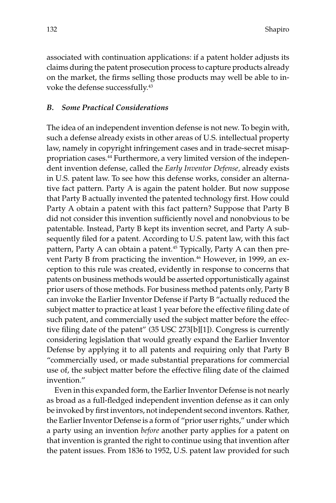associated with continuation applications: if a patent holder adjusts its claims during the patent prosecution process to capture products already on the market, the firms selling those products may well be able to invoke the defense successfully.43

# *B. Some Practical Considerations*

The idea of an independent invention defense is not new. To begin with, such a defense already exists in other areas of U.S. intellectual property law, namely in copyright infringement cases and in trade-secret misappropriation cases.44 Furthermore, a very limited version of the independent invention defense, called the *Early Inventor Defense,* already exists in U.S. patent law. To see how this defense works, consider an alternative fact pattern. Party A is again the patent holder. But now suppose that Party B actually invented the patented technology first. How could Party A obtain a patent with this fact pattern? Suppose that Party B did not consider this invention sufficiently novel and nonobvious to be patentable. Instead, Party B kept its invention secret, and Party A subsequently filed for a patent. According to U.S. patent law, with this fact pattern, Party A can obtain a patent.<sup>45</sup> Typically, Party A can then prevent Party B from practicing the invention.<sup>46</sup> However, in 1999, an exception to this rule was created, evidently in response to concerns that patents on business methods would be asserted opportunistically against prior users of those methods. For business method patents only, Party B can invoke the Earlier Inventor Defense if Party B "actually reduced the subject matter to practice at least 1 year before the effective filing date of such patent, and commercially used the subject matter before the effective filing date of the patent" (35 USC 273[b][1]). Congress is currently considering legislation that would greatly expand the Earlier Inventor Defense by applying it to all patents and requiring only that Party B "commercially used, or made substantial preparations for commercial use of, the subject matter before the effective filing date of the claimed invention."

Even in this expanded form, the Earlier Inventor Defense is not nearly as broad as a full-fledged independent invention defense as it can only be invoked by first inventors, not independent second inventors. Rather, the Earlier Inventor Defense is a form of "prior user rights," under which a party using an invention *before* another party applies for a patent on that invention is granted the right to continue using that invention after the patent issues. From 1836 to 1952, U.S. patent law provided for such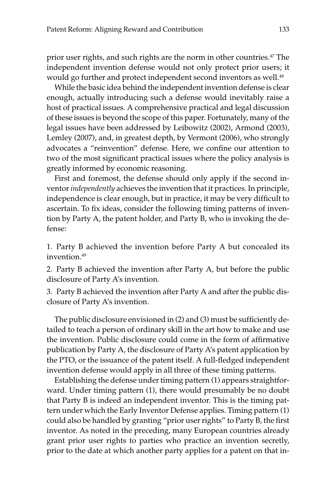prior user rights, and such rights are the norm in other countries.47 The independent invention defense would not only protect prior users; it would go further and protect independent second inventors as well.<sup>48</sup>

While the basic idea behind the independent invention defense is clear enough, actually introducing such a defense would inevitably raise a host of practical issues. A comprehensive practical and legal discussion of these issues is beyond the scope of this paper. Fortunately, many of the legal issues have been addressed by Leibowitz (2002), Armond (2003), Lemley (2007), and, in greatest depth, by Vermont (2006), who strongly advocates a "reinvention" defense. Here, we confine our attention to two of the most significant practical issues where the policy analysis is greatly informed by economic reasoning.

First and foremost, the defense should only apply if the second inventor *independently* achieves the invention that it practices. In principle, independence is clear enough, but in practice, it may be very difficult to ascertain. To fix ideas, consider the following timing patterns of invention by Party A, the patent holder, and Party B, who is invoking the defense:

1. Party B achieved the invention before Party A but concealed its invention<sup>49</sup>

2. Party B achieved the invention after Party A, but before the public disclosure of Party A's invention.

3. Party B achieved the invention after Party A and after the public disclosure of Party A's invention.

The public disclosure envisioned in (2) and (3) must be sufficiently detailed to teach a person of ordinary skill in the art how to make and use the invention. Public disclosure could come in the form of affirmative publication by Party A, the disclosure of Party A's patent application by the PTO, or the issuance of the patent itself. A full-fledged independent invention defense would apply in all three of these timing patterns.

Establishing the defense under timing pattern (1) appears straightforward. Under timing pattern (1), there would presumably be no doubt that Party B is indeed an independent inventor. This is the timing pattern under which the Early Inventor Defense applies. Timing pattern (1) could also be handled by granting "prior user rights" to Party B, the first inventor. As noted in the preceding, many European countries already grant prior user rights to parties who practice an invention secretly, prior to the date at which another party applies for a patent on that in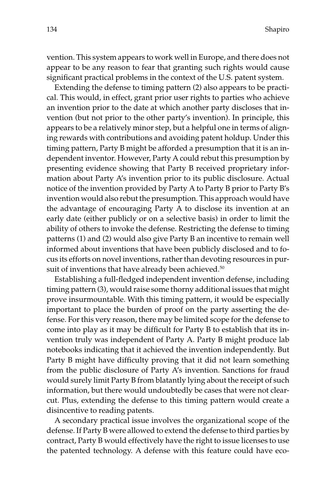vention. This system appears to work well in Europe, and there does not appear to be any reason to fear that granting such rights would cause significant practical problems in the context of the U.S. patent system.

Extending the defense to timing pattern (2) also appears to be practical. This would, in effect, grant prior user rights to parties who achieve an invention prior to the date at which another party discloses that invention (but not prior to the other party's invention). In principle, this appears to be a relatively minor step, but a helpful one in terms of aligning rewards with contributions and avoiding patent holdup. Under this timing pattern, Party B might be afforded a presumption that it is an independent inventor. However, Party A could rebut this presumption by presenting evidence showing that Party B received proprietary information about Party A's invention prior to its public disclosure. Actual notice of the invention provided by Party A to Party B prior to Party B's invention would also rebut the presumption. This approach would have the advantage of encouraging Party A to disclose its invention at an early date (either publicly or on a selective basis) in order to limit the ability of others to invoke the defense. Restricting the defense to timing patterns (1) and (2) would also give Party B an incentive to remain well informed about inventions that have been publicly disclosed and to focus its efforts on novel inventions, rather than devoting resources in pursuit of inventions that have already been achieved.<sup>50</sup>

Establishing a full-fledged independent invention defense, including timing pattern (3), would raise some thorny additional issues that might prove insurmountable. With this timing pattern, it would be especially important to place the burden of proof on the party asserting the defense. For this very reason, there may be limited scope for the defense to come into play as it may be difficult for Party B to establish that its invention truly was independent of Party A. Party B might produce lab notebooks indicating that it achieved the invention independently. But Party B might have difficulty proving that it did not learn something from the public disclosure of Party A's invention. Sanctions for fraud would surely limit Party B from blatantly lying about the receipt of such information, but there would undoubtedly be cases that were not clearcut. Plus, extending the defense to this timing pattern would create a disincentive to reading patents.

A secondary practical issue involves the organizational scope of the defense. If Party B were allowed to extend the defense to third parties by contract, Party B would effectively have the right to issue licenses to use the patented technology. A defense with this feature could have eco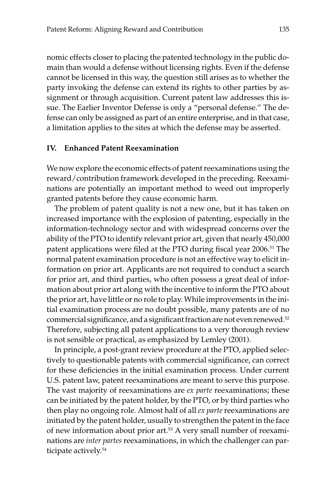nomic effects closer to placing the patented technology in the public domain than would a defense without licensing rights. Even if the defense cannot be licensed in this way, the question still arises as to whether the party invoking the defense can extend its rights to other parties by assignment or through acquisition. Current patent law addresses this issue. The Earlier Inventor Defense is only a "personal defense." The defense can only be assigned as part of an entire enterprise, and in that case, a limitation applies to the sites at which the defense may be asserted.

#### **IV. Enhanced Patent Reexamination**

We now explore the economic effects of patent reexaminations using the reward/contribution framework developed in the preceding. Reexaminations are potentially an important method to weed out improperly granted patents before they cause economic harm.

The problem of patent quality is not a new one, but it has taken on increased importance with the explosion of patenting, especially in the information-technology sector and with widespread concerns over the ability of the PTO to identify relevant prior art, given that nearly 450,000 patent applications were filed at the PTO during fiscal year 2006.<sup>51</sup> The normal patent examination procedure is not an effective way to elicit information on prior art. Applicants are not required to conduct a search for prior art, and third parties, who often possess a great deal of information about prior art along with the incentive to inform the PTO about the prior art, have little or no role to play. While improvements in the initial examination process are no doubt possible, many patents are of no commercial significance, and a significant fraction are not even renewed.52 Therefore, subjecting all patent applications to a very thorough review is not sensible or practical, as emphasized by Lemley (2001).

In principle, a post-grant review procedure at the PTO, applied selectively to questionable patents with commercial significance, can correct for these deficiencies in the initial examination process. Under current U.S. patent law, patent reexaminations are meant to serve this purpose. The vast majority of reexaminations are *ex parte* reexaminations; these can be initiated by the patent holder, by the PTO, or by third parties who then play no ongoing role. Almost half of all *ex parte* reexaminations are initiated by the patent holder, usually to strengthen the patent in the face of new information about prior art.53 A very small number of reexaminations are *inter partes* reexaminations, in which the challenger can participate actively.54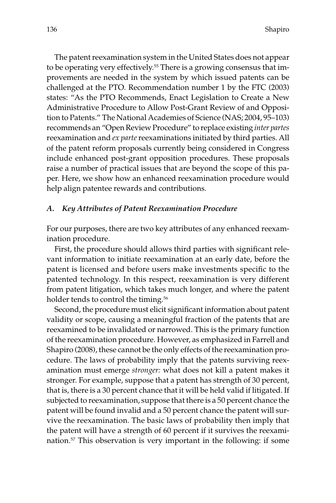The patent reexamination system in the United States does not appear to be operating very effectively.55 There is a growing consensus that improvements are needed in the system by which issued patents can be challenged at the PTO. Recommendation number 1 by the FTC (2003) states: "As the PTO Recommends, Enact Legislation to Create a New Administrative Procedure to Allow Post-Grant Review of and Opposition to Patents." The National Academies of Science (NAS; 2004, 95–103) recommends an "Open Review Procedure" to replace existing *inter partes* reexamination and *ex parte*reexaminations initiated by third parties. All of the patent reform proposals currently being considered in Congress include enhanced post-grant opposition procedures. These proposals raise a number of practical issues that are beyond the scope of this paper. Here, we show how an enhanced reexamination procedure would help align patentee rewards and contributions.

## *A. Key Attributes of Patent Reexamination Procedure*

For our purposes, there are two key attributes of any enhanced reexamination procedure.

First, the procedure should allows third parties with significant relevant information to initiate reexamination at an early date, before the patent is licensed and before users make investments specific to the patented technology. In this respect, reexamination is very different from patent litigation, which takes much longer, and where the patent holder tends to control the timing.<sup>56</sup>

Second, the procedure must elicit significant information about patent validity or scope, causing a meaningful fraction of the patents that are reexamined to be invalidated or narrowed. This is the primary function of the reexamination procedure. However, as emphasized in Farrell and Shapiro (2008), these cannot be the only effects of the reexamination procedure. The laws of probability imply that the patents surviving reexamination must emerge *stronger:* what does not kill a patent makes it stronger. For example, suppose that a patent has strength of 30 percent, that is, there is a 30 percent chance that it will be held valid if litigated. If subjected to reexamination, suppose that there is a 50 percent chance the patent will be found invalid and a 50 percent chance the patent will survive the reexamination. The basic laws of probability then imply that the patent will have a strength of 60 percent if it survives the reexamination.57 This observation is very important in the following: if some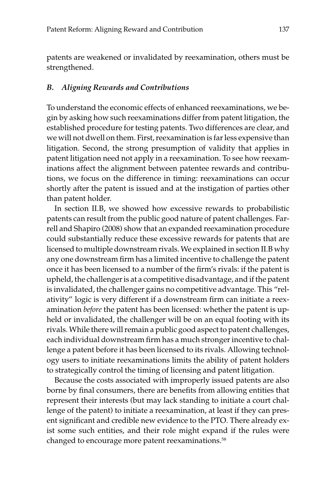patents are weakened or invalidated by reexamination, others must be strengthened.

#### *B. Aligning Rewards and Contributions*

To understand the economic effects of enhanced reexaminations, we begin by asking how such reexaminations differ from patent litigation, the established procedure for testing patents. Two differences are clear, and we will not dwell on them. First, reexamination is far less expensive than litigation. Second, the strong presumption of validity that applies in patent litigation need not apply in a reexamination. To see how reexaminations affect the alignment between patentee rewards and contributions, we focus on the difference in timing: reexaminations can occur shortly after the patent is issued and at the instigation of parties other than patent holder.

In section II.B, we showed how excessive rewards to probabilistic patents can result from the public good nature of patent challenges. Farrell and Shapiro (2008) show that an expanded reexamination procedure could substantially reduce these excessive rewards for patents that are licensed to multiple downstream rivals. We explained in section II.B why any one downstream firm has a limited incentive to challenge the patent once it has been licensed to a number of the firm's rivals: if the patent is upheld, the challenger is at a competitive disadvantage, and if the patent is invalidated, the challenger gains no competitive advantage. This "relativity" logic is very different if a downstream firm can initiate a reexamination *before* the patent has been licensed: whether the patent is upheld or invalidated, the challenger will be on an equal footing with its rivals. While there will remain a public good aspect to patent challenges, each individual downstream firm has a much stronger incentive to challenge a patent before it has been licensed to its rivals. Allowing technology users to initiate reexaminations limits the ability of patent holders to strategically control the timing of licensing and patent litigation.

Because the costs associated with improperly issued patents are also borne by final consumers, there are benefits from allowing entities that represent their interests (but may lack standing to initiate a court challenge of the patent) to initiate a reexamination, at least if they can present significant and credible new evidence to the PTO. There already exist some such entities, and their role might expand if the rules were changed to encourage more patent reexaminations.<sup>58</sup>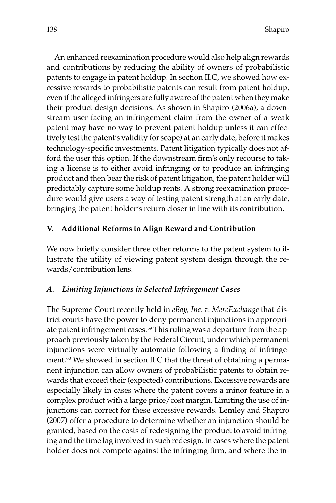An enhanced reexamination procedure would also help align rewards and contributions by reducing the ability of owners of probabilistic patents to engage in patent holdup. In section II.C, we showed how excessive rewards to probabilistic patents can result from patent holdup, even if the alleged infringers are fully aware of the patent when they make their product design decisions. As shown in Shapiro (2006a), a downstream user facing an infringement claim from the owner of a weak patent may have no way to prevent patent holdup unless it can effectively test the patent's validity (or scope) at an early date, before it makes technology-specific investments. Patent litigation typically does not afford the user this option. If the downstream firm's only recourse to taking a license is to either avoid infringing or to produce an infringing product and then bear the risk of patent litigation, the patent holder will predictably capture some holdup rents. A strong reexamination procedure would give users a way of testing patent strength at an early date, bringing the patent holder's return closer in line with its contribution.

# **V. Additional Reforms to Align Reward and Contribution**

We now briefly consider three other reforms to the patent system to illustrate the utility of viewing patent system design through the rewards/contribution lens.

# *A. Limiting Injunctions in Selected Infringement Cases*

The Supreme Court recently held in *eBay, Inc. v. MercExchange* that district courts have the power to deny permanent injunctions in appropriate patent infringement cases.<sup>59</sup> This ruling was a departure from the approach previously taken by the Federal Circuit, under which permanent injunctions were virtually automatic following a finding of infringement.60 We showed in section II.C that the threat of obtaining a permanent injunction can allow owners of probabilistic patents to obtain rewards that exceed their (expected) contributions. Excessive rewards are especially likely in cases where the patent covers a minor feature in a complex product with a large price/cost margin. Limiting the use of injunctions can correct for these excessive rewards. Lemley and Shapiro (2007) offer a procedure to determine whether an injunction should be granted, based on the costs of redesigning the product to avoid infringing and the time lag involved in such redesign. In cases where the patent holder does not compete against the infringing firm, and where the in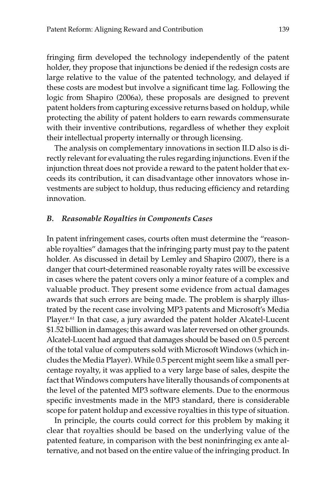fringing firm developed the technology independently of the patent holder, they propose that injunctions be denied if the redesign costs are large relative to the value of the patented technology, and delayed if these costs are modest but involve a significant time lag. Following the logic from Shapiro (2006a), these proposals are designed to prevent patent holders from capturing excessive returns based on holdup, while protecting the ability of patent holders to earn rewards commensurate with their inventive contributions, regardless of whether they exploit their intellectual property internally or through licensing.

The analysis on complementary innovations in section II.D also is directly relevant for evaluating the rules regarding injunctions. Even if the injunction threat does not provide a reward to the patent holder that exceeds its contribution, it can disadvantage other innovators whose investments are subject to holdup, thus reducing efficiency and retarding innovation.

#### *B. Reasonable Royalties in Components Cases*

In patent infringement cases, courts often must determine the "reasonable royalties" damages that the infringing party must pay to the patent holder. As discussed in detail by Lemley and Shapiro (2007), there is a danger that court-determined reasonable royalty rates will be excessive in cases where the patent covers only a minor feature of a complex and valuable product. They present some evidence from actual damages awards that such errors are being made. The problem is sharply illustrated by the recent case involving MP3 patents and Microsoft's Media Player.<sup>61</sup> In that case, a jury awarded the patent holder Alcatel-Lucent \$1.52 billion in damages; this award was later reversed on other grounds. Alcatel-Lucent had argued that damages should be based on 0.5 percent of the total value of computers sold with Microsoft Windows (which includes the Media Player). While 0.5 percent might seem like a small percentage royalty, it was applied to a very large base of sales, despite the fact that Windows computers have literally thousands of components at the level of the patented MP3 software elements. Due to the enormous specific investments made in the MP3 standard, there is considerable scope for patent holdup and excessive royalties in this type of situation.

In principle, the courts could correct for this problem by making it clear that royalties should be based on the underlying value of the patented feature, in comparison with the best noninfringing ex ante alternative, and not based on the entire value of the infringing product. In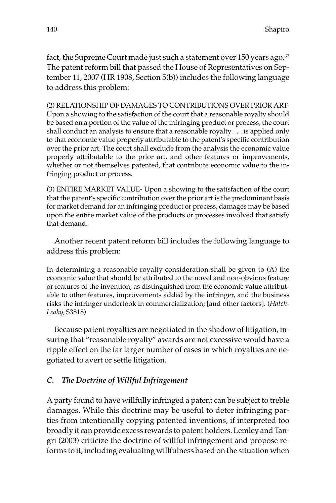fact, the Supreme Court made just such a statement over 150 years ago. $62$ The patent reform bill that passed the House of Representatives on September 11, 2007 (HR 1908, Section 5(b)) includes the following language to address this problem:

(2) RELATIONSHIP OF DAMAGES TO CONTRIBUTIONS OVER PRIOR ART-Upon a showing to the satisfaction of the court that a reasonable royalty should be based on a portion of the value of the infringing product or process, the court shall conduct an analysis to ensure that a reasonable royalty . . . is applied only to that economic value properly attributable to the patent's specific contribution over the prior art. The court shall exclude from the analysis the economic value properly attributable to the prior art, and other features or improvements, whether or not themselves patented, that contribute economic value to the infringing product or process.

(3) ENTIRE MARKET VALUE- Upon a showing to the satisfaction of the court that the patent's specific contribution over the prior art is the predominant basis for market demand for an infringing product or process, damages may be based upon the entire market value of the products or processes involved that satisfy that demand.

Another recent patent reform bill includes the following language to address this problem:

In determining a reasonable royalty consideration shall be given to (A) the economic value that should be attributed to the novel and non-obvious feature or features of the invention, as distinguished from the economic value attributable to other features, improvements added by the infringer, and the business risks the infringer undertook in commercialization; [and other factors]. (*Hatch-Leahy,* S3818)

Because patent royalties are negotiated in the shadow of litigation, insuring that "reasonable royalty" awards are not excessive would have a ripple effect on the far larger number of cases in which royalties are negotiated to avert or settle litigation.

# *C. The Doctrine of Willful Infringement*

A party found to have willfully infringed a patent can be subject to treble damages. While this doctrine may be useful to deter infringing parties from intentionally copying patented inventions, if interpreted too broadly it can provide excess rewards to patent holders. Lemley and Tangri (2003) criticize the doctrine of willful infringement and propose reforms to it, including evaluating willfulness based on the situation when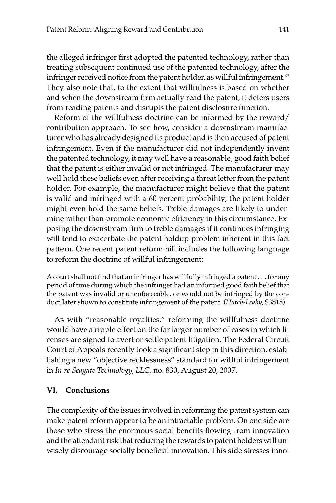the alleged infringer first adopted the patented technology, rather than treating subsequent continued use of the patented technology, after the infringer received notice from the patent holder, as willful infringement.<sup>63</sup> They also note that, to the extent that willfulness is based on whether and when the downstream firm actually read the patent, it deters users from reading patents and disrupts the patent disclosure function.

Reform of the willfulness doctrine can be informed by the reward/ contribution approach. To see how, consider a downstream manufacturer who has already designed its product and is then accused of patent infringement. Even if the manufacturer did not independently invent the patented technology, it may well have a reasonable, good faith belief that the patent is either invalid or not infringed. The manufacturer may well hold these beliefs even after receiving a threat letter from the patent holder. For example, the manufacturer might believe that the patent is valid and infringed with a 60 percent probability; the patent holder might even hold the same beliefs. Treble damages are likely to undermine rather than promote economic efficiency in this circumstance. Exposing the downstream firm to treble damages if it continues infringing will tend to exacerbate the patent holdup problem inherent in this fact pattern. One recent patent reform bill includes the following language to reform the doctrine of willful infringement:

A court shall not find that an infringer has willfully infringed a patent . . . for any period of time during which the infringer had an informed good faith belief that the patent was invalid or unenforceable, or would not be infringed by the conduct later shown to constitute infringement of the patent. (*Hatch-Leahy,* S3818)

As with "reasonable royalties," reforming the willfulness doctrine would have a ripple effect on the far larger number of cases in which licenses are signed to avert or settle patent litigation. The Federal Circuit Court of Appeals recently took a significant step in this direction, establishing a new "objective recklessness" standard for willful infringement in *In re Seagate Technology, LLC,* no. 830, August 20, 2007.

# **VI. Conclusions**

The complexity of the issues involved in reforming the patent system can make patent reform appear to be an intractable problem. On one side are those who stress the enormous social benefits flowing from innovation and the attendant risk that reducing the rewards to patent holders will unwisely discourage socially beneficial innovation. This side stresses inno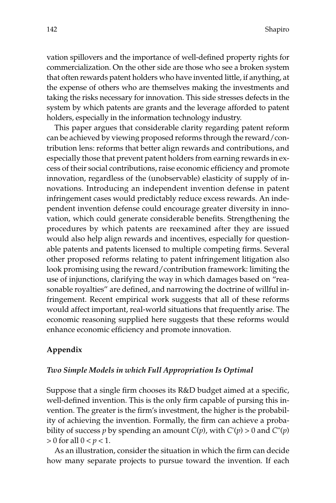vation spillovers and the importance of well-defined property rights for commercialization. On the other side are those who see a broken system that often rewards patent holders who have invented little, if anything, at the expense of others who are themselves making the investments and taking the risks necessary for innovation. This side stresses defects in the system by which patents are grants and the leverage afforded to patent holders, especially in the information technology industry.

This paper argues that considerable clarity regarding patent reform can be achieved by viewing proposed reforms through the reward/contribution lens: reforms that better align rewards and contributions, and especially those that prevent patent holders from earning rewards in excess of their social contributions, raise economic efficiency and promote innovation, regardless of the (unobservable) elasticity of supply of innovations. Introducing an independent invention defense in patent infringement cases would predictably reduce excess rewards. An independent invention defense could encourage greater diversity in innovation, which could generate considerable benefits. Strengthening the procedures by which patents are reexamined after they are issued would also help align rewards and incentives, especially for questionable patents and patents licensed to multiple competing firms. Several other proposed reforms relating to patent infringement litigation also look promising using the reward/contribution framework: limiting the use of injunctions, clarifying the way in which damages based on "reasonable royalties" are defined, and narrowing the doctrine of willful infringement. Recent empirical work suggests that all of these reforms would affect important, real-world situations that frequently arise. The economic reasoning supplied here suggests that these reforms would enhance economic efficiency and promote innovation.

# **Appendix**

#### *Two Simple Models in which Full Appropriation Is Optimal*

Suppose that a single firm chooses its R&D budget aimed at a specific, well-defined invention. This is the only firm capable of pursing this invention. The greater is the firm's investment, the higher is the probability of achieving the invention. Formally, the firm can achieve a probability of success *p* by spending an amount  $C(p)$ , with  $C'(p) > 0$  and  $C''(p)$  $> 0$  for all  $0 < p < 1$ .

As an illustration, consider the situation in which the firm can decide how many separate projects to pursue toward the invention. If each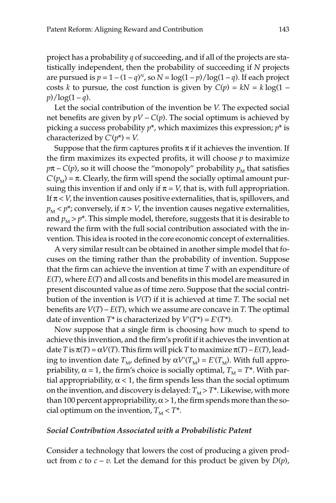project has a probability *q* of succeeding, and if all of the projects are statistically independent, then the probability of succeeding if *N* projects are pursued is  $p = 1 - (1 - q)^N$ , so  $N = \log(1 - p) / \log(1 - q)$ . If each project costs *k* to pursue, the cost function is given by  $C(p) = kN = k \log(1$  $p$ / $log(1 - q)$ .

Let the social contribution of the invention be *V.* The expected social net benefits are given by  $pV - C(p)$ . The social optimum is achieved by picking a success probability *p*\*, which maximizes this expression; *p*\* is characterized by  $C'(p^*) = V$ .

Suppose that the firm captures profits  $\pi$  if it achieves the invention. If the firm maximizes its expected profits, it will choose *p* to maximize  $p\pi$  – *C*(*p*), so it will choose the "monopoly" probability  $p_M$  that satisfies  $C'(p_M) = \pi$ . Clearly, the firm will spend the socially optimal amount pursuing this invention if and only if  $\pi = V$ , that is, with full appropriation. If  $\pi$  < *V*, the invention causes positive externalities, that is, spillovers, and  $p_M$  <  $p^*$ ; conversely, if  $\pi$  > *V*, the invention causes negative externalities, and  $p_M$  >  $p^*$ . This simple model, therefore, suggests that it is desirable to reward the firm with the full social contribution associated with the invention. This idea is rooted in the core economic concept of externalities.

A very similar result can be obtained in another simple model that focuses on the timing rather than the probability of invention. Suppose that the firm can achieve the invention at time *T* with an expenditure of *E*(*T*), where *E*(*T*) and all costs and benefits in this model are measured in present discounted value as of time zero. Suppose that the social contribution of the invention is *V*(*T*) if it is achieved at time *T.* The social net benefits are  $V(T) - E(T)$ , which we assume are concave in *T*. The optimal date of invention  $T^*$  is characterized by  $V'(T^*) = E'(T^*)$ .

Now suppose that a single firm is choosing how much to spend to achieve this invention, and the firm's profit if it achieves the invention at date *T* is  $\pi(T) = \alpha V(T)$ . This firm will pick *T* to maximize  $\pi(T) - E(T)$ , leading to invention date  $T_M$ , defined by  $\alpha V'(T_M) = E'(T_M)$ . With full appropriability,  $\alpha = 1$ , the firm's choice is socially optimal,  $T_M = T^*$ . With partial appropriability,  $\alpha$  < 1, the firm spends less than the social optimum on the invention, and discovery is delayed:  $T_M > T^*$ . Likewise, with more than 100 percent appropriability,  $\alpha > 1$ , the firm spends more than the social optimum on the invention,  $T<sub>M</sub> < T^*$ .

## *Social Contribution Associated with a Probabilistic Patent*

Consider a technology that lowers the cost of producing a given product from  $c$  to  $c - v$ . Let the demand for this product be given by  $D(p)$ ,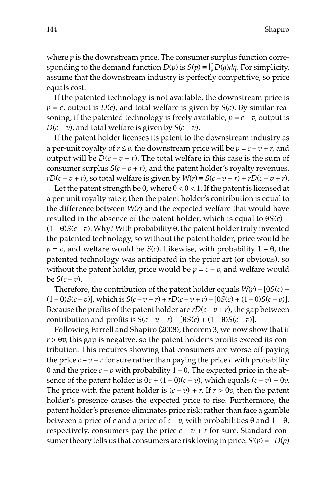where *p* is the downstream price. The consumer surplus function corresponding to the demand function  $D(p)$  is  $S(p) \equiv \int_{p}^{\infty} D(q) dq$ . For simplicity, assume that the downstream industry is perfectly competitive, so price equals cost.

If the patented technology is not available, the downstream price is  $p = c$ , output is  $D(c)$ , and total welfare is given by  $S(c)$ . By similar reasoning, if the patented technology is freely available,  $p = c - v$ , output is  $D(c-v)$ , and total welfare is given by  $S(c-v)$ .

If the patent holder licenses its patent to the downstream industry as a per-unit royalty of  $r \le v$ , the downstream price will be  $p = c - v + r$ , and output will be  $D(c - v + r)$ . The total welfare in this case is the sum of consumer surplus  $S(c - v + r)$ , and the patent holder's royalty revenues, *rD*(*c* – *v* + *r*), so total welfare is given by  $W(r) \equiv S(c - v + r) + rD(c - v + r)$ .

Let the patent strength be  $\theta$ , where  $0 < \theta < 1$ . If the patent is licensed at a per-unit royalty rate *r,* then the patent holder's contribution is equal to the difference between *W*(*r*) and the expected welfare that would have resulted in the absence of the patent holder, which is equal to θ*S*(*c*) + (1 – θ)*S*(*c* – *v*). Why? With probability θ, the patent holder truly invented the patented technology, so without the patent holder, price would be  $p = c$ , and welfare would be *S*(*c*). Likewise, with probability  $1 - \theta$ , the patented technology was anticipated in the prior art (or obvious), so without the patent holder, price would be  $p = c - v$ , and welfare would be  $S(c-v)$ .

Therefore, the contribution of the patent holder equals  $W(r) - [\theta S(c) +$  $(1 - \theta)S(c - v)$ ], which is  $S(c - v + r) + rD(c - v + r) - [\theta S(c) + (1 - \theta)S(c - v)]$ . Because the profits of the patent holder are  $rD(c-v+r)$ , the gap between contribution and profits is  $S(c - v + r) - [\theta S(c) + (1 - \theta)S(c - v)].$ 

Following Farrell and Shapiro (2008), theorem 3, we now show that if *r* > θ*v,* this gap is negative, so the patent holder's profits exceed its contribution. This requires showing that consumers are worse off paying the price  $c - v + r$  for sure rather than paying the price  $c$  with probability θ and the price *c* – *v* with probability 1 – θ. The expected price in the absence of the patent holder is  $\theta c + (1 - \theta)(c - v)$ , which equals  $(c - v) + \theta v$ . The price with the patent holder is  $(c - v) + r$ . If  $r > \theta v$ , then the patent holder's presence causes the expected price to rise. Furthermore, the patent holder's presence eliminates price risk: rather than face a gamble between a price of *c* and a price of *c* – *v*, with probabilities  $θ$  and  $1 - θ$ , respectively, consumers pay the price  $c - v + r$  for sure. Standard consumer theory tells us that consumers are risk loving in price:  $S'(p) = -D(p)$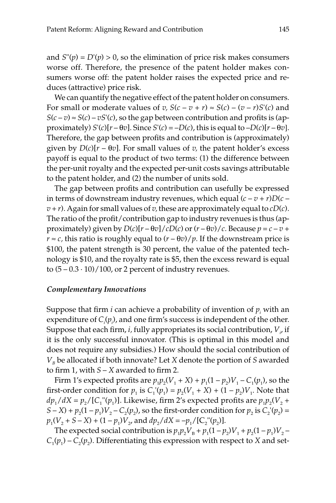and  $S''(p) = D'(p) > 0$ , so the elimination of price risk makes consumers worse off. Therefore, the presence of the patent holder makes consumers worse off: the patent holder raises the expected price and reduces (attractive) price risk.

We can quantify the negative effect of the patent holder on consumers. For small or moderate values of *v*,  $S(c - v + r) \approx S(c) - (v - r)S'(c)$  and  $S(c-v) \approx S(c) - vS'(c)$ , so the gap between contribution and profits is (approximately)  $S'(c)[r - \theta v]$ . Since  $S'(c) = -D(c)$ , this is equal to  $-D(c)[r - \theta v]$ . Therefore, the gap between profits and contribution is (approximately) given by  $D(c)[r - \theta v]$ . For small values of *v*, the patent holder's excess payoff is equal to the product of two terms: (1) the difference between the per-unit royalty and the expected per-unit costs savings attributable to the patent holder, and (2) the number of units sold.

The gap between profits and contribution can usefully be expressed in terms of downstream industry revenues, which equal  $(c - v + r)D(c - v)$  $v + r$ ). Again for small values of *v*, these are approximately equal to  $cD(c)$ . The ratio of the profit/contribution gap to industry revenues is thus (approximately) given by  $D(c)[r - \theta v]/cD(c)$  or  $(r - \theta v)/c$ . Because  $p = c - v + c$  $r \approx c$ , this ratio is roughly equal to  $(r - \theta v)/p$ . If the downstream price is \$100, the patent strength is 30 percent, the value of the patented technology is \$10, and the royalty rate is \$5, then the excess reward is equal to  $(5 - 0.3 \cdot 10) / 100$ , or 2 percent of industry revenues.

#### *Complementary Innovations*

Suppose that firm *i* can achieve a probability of invention of *pi* with an expenditure of  $C_i(p_i)$ , and one firm's success is independent of the other. Suppose that each firm,  $i$ , fully appropriates its social contribution,  $V_{\scriptscriptstyle i}$ , if it is the only successful innovator. (This is optimal in this model and does not require any subsidies.) How should the social contribution of *VB* be allocated if both innovate? Let *X* denote the portion of *S* awarded to firm 1, with  $S - X$  awarded to firm 2.

Firm 1's expected profits are  $p_1p_2(V_1 + X) + p_1(1 - p_2)V_1 - C_1(p_1)$ , so the first-order condition for  $p_1$  is  $C_1'(p_1) = p_2(V_1 + X) + (1 - p_2)V_1$ . Note that  $dp_1/dX = p_2/[C_1''(p_1)]$ . Likewise, firm 2's expected profits are  $p_1p_2(V_2 +$  $S - X$ ) +  $p_2(1 - p_1)V_2 - C_2(p_2)$ , so the first-order condition for  $p_2$  is  $C_2'(p_2) =$  $p_1(V_2 + S - X) + (1 - p_1)V_2$ , and  $dp_2/dX = -p_1/[C_2''(p_2)].$ 

The expected social contribution is  $p_1p_2V_B + p_1(1-p_2)V_1 + p_2(1-p_1)V_2$  –  $C_1(p_1) - C_2(p_2)$ . Differentiating this expression with respect to *X* and set-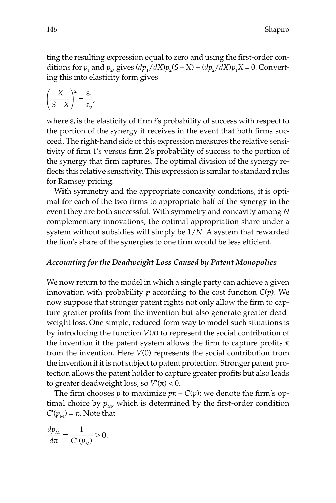ting the resulting expression equal to zero and using the first-order conditions for  $p_1$  and  $p_2$ , gives  $(dp_1/dX)p_2(S - X) + (dp_2/dX)p_1X = 0$ . Converting this into elasticity form gives

$$
\left(\frac{X}{S-X}\right)^2 = \frac{\epsilon_1}{\epsilon_2},
$$

where ε*<sup>i</sup>* is the elasticity of firm *i*'s probability of success with respect to the portion of the synergy it receives in the event that both firms succeed. The right-hand side of this expression measures the relative sensitivity of firm 1's versus firm 2's probability of success to the portion of the synergy that firm captures. The optimal division of the synergy reflects this relative sensitivity. This expression is similar to standard rules for Ramsey pricing.

With symmetry and the appropriate concavity conditions, it is optimal for each of the two firms to appropriate half of the synergy in the event they are both successful. With symmetry and concavity among *N* complementary innovations, the optimal appropriation share under a system without subsidies will simply be 1/*N.* A system that rewarded the lion's share of the synergies to one firm would be less efficient.

# *Accounting for the Deadweight Loss Caused by Patent Monopolies*

We now return to the model in which a single party can achieve a given innovation with probability *p* according to the cost function *C*(*p*). We now suppose that stronger patent rights not only allow the firm to capture greater profits from the invention but also generate greater deadweight loss. One simple, reduced-form way to model such situations is by introducing the function  $V(\pi)$  to represent the social contribution of the invention if the patent system allows the firm to capture profits  $\pi$ from the invention. Here *V*(0) represents the social contribution from the invention if it is not subject to patent protection. Stronger patent protection allows the patent holder to capture greater profits but also leads to greater deadweight loss, so *V*'(π) < 0.

The firm chooses *p* to maximize  $p\pi - C(p)$ ; we denote the firm's optimal choice by  $p_M$ , which is determined by the first-order condition *C*'( $p_M$ ) = π. Note that

- *d d p* π  $\frac{\nu_{\rm M}}{\pi} = \frac{1}{C''(1)}$  $\frac{1}{(p_{\rm M})}$  > 0.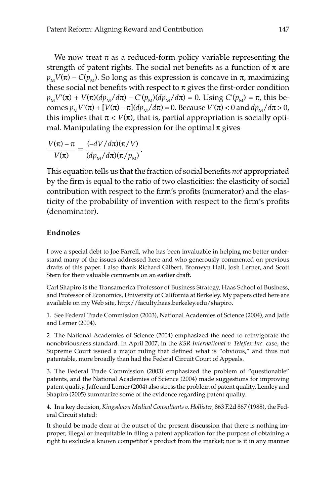We now treat  $\pi$  as a reduced-form policy variable representing the strength of patent rights. The social net benefits as a function of  $\pi$  are  $p_M V(\pi)$  –  $C(p_M)$ . So long as this expression is concave in  $\pi$ , maximizing these social net benefits with respect to  $\pi$  gives the first-order condition  $p_M V(\pi) + V(\pi) (dp_M/d\pi) - C'(p_M)(dp_M/d\pi) = 0$ . Using  $C'(p_M) = \pi$ , this becomes  $p_M V'(\pi) + [V(\pi) - \pi](dp_M/d\pi) = 0$ . Because  $V'(\pi) < 0$  and  $dp_M/d\pi > 0$ , this implies that  $\pi$  <  $V(\pi)$ , that is, partial appropriation is socially optimal. Manipulating the expression for the optimal  $\pi$  gives

$$
\frac{V(\pi) - \pi}{V(\pi)} = \frac{(-dV/d\pi)(\pi/V)}{(dp_M/d\pi)(\pi/p_M)}.
$$

This equation tells us that the fraction of social benefits *not* appropriated by the firm is equal to the ratio of two elasticities: the elasticity of social contribution with respect to the firm's profits (numerator) and the elasticity of the probability of invention with respect to the firm's profits (denominator).

# **Endnotes**

I owe a special debt to Joe Farrell, who has been invaluable in helping me better understand many of the issues addressed here and who generously commented on previous drafts of this paper. I also thank Richard Gilbert, Bronwyn Hall, Josh Lerner, and Scott Stern for their valuable comments on an earlier draft.

Carl Shapiro is the Transamerica Professor of Business Strategy, Haas School of Business, and Professor of Economics, University of California at Berkeley. My papers cited here are available on my Web site, http://faculty.haas.berkeley.edu/shapiro.

1. See Federal Trade Commission (2003), National Academies of Science (2004), and Jaffe and Lerner (2004).

2. The National Academies of Science (2004) emphasized the need to reinvigorate the nonobviousness standard. In April 2007, in the *KSR International v. Teleflex Inc.* case, the Supreme Court issued a major ruling that defined what is "obvious," and thus not patentable, more broadly than had the Federal Circuit Court of Appeals.

3. The Federal Trade Commission (2003) emphasized the problem of "questionable" patents, and the National Academies of Science (2004) made suggestions for improving patent quality. Jaffe and Lerner (2004) also stress the problem of patent quality. Lemley and Shapiro (2005) summarize some of the evidence regarding patent quality.

4. In a key decision, *Kingsdown Medical Consultants v. Hollister,* 863 F.2d 867 (1988), the Federal Circuit stated:

It should be made clear at the outset of the present discussion that there is nothing improper, illegal or inequitable in filing a patent application for the purpose of obtaining a right to exclude a known competitor's product from the market; nor is it in any manner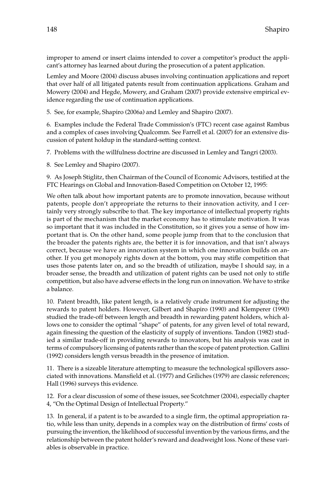improper to amend or insert claims intended to cover a competitor's product the applicant's attorney has learned about during the prosecution of a patent application.

Lemley and Moore (2004) discuss abuses involving continuation applications and report that over half of all litigated patents result from continuation applications. Graham and Mowery (2004) and Hegde, Mowery, and Graham (2007) provide extensive empirical evidence regarding the use of continuation applications.

5. See, for example, Shapiro (2006a) and Lemley and Shapiro (2007).

6. Examples include the Federal Trade Commission's (FTC) recent case against Rambus and a complex of cases involving Qualcomm. See Farrell et al. (2007) for an extensive discussion of patent holdup in the standard-setting context.

7. Problems with the willfulness doctrine are discussed in Lemley and Tangri (2003).

8. See Lemley and Shapiro (2007).

9. As Joseph Stiglitz, then Chairman of the Council of Economic Advisors, testified at the FTC Hearings on Global and Innovation-Based Competition on October 12, 1995:

We often talk about how important patents are to promote innovation, because without patents, people don't appropriate the returns to their innovation activity, and I certainly very strongly subscribe to that. The key importance of intellectual property rights is part of the mechanism that the market economy has to stimulate motivation. It was so important that it was included in the Constitution, so it gives you a sense of how important that is. On the other hand, some people jump from that to the conclusion that the broader the patents rights are, the better it is for innovation, and that isn't always correct, because we have an innovation system in which one innovation builds on another. If you get monopoly rights down at the bottom, you may stifle competition that uses those patents later on, and so the breadth of utilization, maybe I should say, in a broader sense, the breadth and utilization of patent rights can be used not only to stifle competition, but also have adverse effects in the long run on innovation. We have to strike a balance.

10. Patent breadth, like patent length, is a relatively crude instrument for adjusting the rewards to patent holders. However, Gilbert and Shapiro (1990) and Klemperer (1990) studied the trade-off between length and breadth in rewarding patent holders, which allows one to consider the optimal "shape" of patents, for any given level of total reward, again finessing the question of the elasticity of supply of inventions. Tandon (1982) studied a similar trade-off in providing rewards to innovators, but his analysis was cast in terms of compulsory licensing of patents rather than the scope of patent protection. Gallini (1992) considers length versus breadth in the presence of imitation.

11. There is a sizeable literature attempting to measure the technological spillovers associated with innovations. Mansfield et al. (1977) and Griliches (1979) are classic references; Hall (1996) surveys this evidence.

12. For a clear discussion of some of these issues, see Scotchmer (2004), especially chapter 4, "On the Optimal Design of Intellectual Property."

13. In general, if a patent is to be awarded to a single firm, the optimal appropriation ratio, while less than unity, depends in a complex way on the distribution of firms' costs of pursuing the invention, the likelihood of successful invention by the various firms, and the relationship between the patent holder's reward and deadweight loss. None of these variables is observable in practice.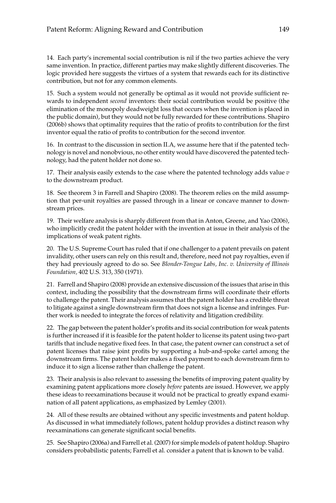14. Each party's incremental social contribution is nil if the two parties achieve the very same invention. In practice, different parties may make slightly different discoveries. The logic provided here suggests the virtues of a system that rewards each for its distinctive contribution, but not for any common elements.

15. Such a system would not generally be optimal as it would not provide sufficient rewards to independent *second* inventors: their social contribution would be positive (the elimination of the monopoly deadweight loss that occurs when the invention is placed in the public domain), but they would not be fully rewarded for these contributions. Shapiro (2006b) shows that optimality requires that the ratio of profits to contribution for the first inventor equal the ratio of profits to contribution for the second inventor.

16. In contrast to the discussion in section II.A, we assume here that if the patented technology is novel and nonobvious, no other entity would have discovered the patented technology, had the patent holder not done so.

17. Their analysis easily extends to the case where the patented technology adds value *v* to the downstream product.

18. See theorem 3 in Farrell and Shapiro (2008). The theorem relies on the mild assumption that per-unit royalties are passed through in a linear or concave manner to downstream prices.

19. Their welfare analysis is sharply different from that in Anton, Greene, and Yao (2006), who implicitly credit the patent holder with the invention at issue in their analysis of the implications of weak patent rights.

20. The U.S. Supreme Court has ruled that if one challenger to a patent prevails on patent invalidity, other users can rely on this result and, therefore, need not pay royalties, even if they had previously agreed to do so. See *Blonder-Tongue Labs, Inc. v. University of Illinois Foundation,* 402 U.S. 313, 350 (1971).

21. Farrell and Shapiro (2008) provide an extensive discussion of the issues that arise in this context, including the possibility that the downstream firms will coordinate their efforts to challenge the patent. Their analysis assumes that the patent holder has a credible threat to litigate against a single downstream firm that does not sign a license and infringes. Further work is needed to integrate the forces of relativity and litigation credibility.

22. The gap between the patent holder's profits and its social contribution for weak patents is further increased if it is feasible for the patent holder to license its patent using two-part tariffs that include negative fixed fees. In that case, the patent owner can construct a set of patent licenses that raise joint profits by supporting a hub-and-spoke cartel among the downstream firms. The patent holder makes a fixed payment to each downstream firm to induce it to sign a license rather than challenge the patent.

23. Their analysis is also relevant to assessing the benefits of improving patent quality by examining patent applications more closely *before* patents are issued. However, we apply these ideas to reexaminations because it would not be practical to greatly expand examination of all patent applications, as emphasized by Lemley (2001).

24. All of these results are obtained without any specific investments and patent holdup. As discussed in what immediately follows, patent holdup provides a distinct reason why reexaminations can generate significant social benefits.

25. See Shapiro (2006a) and Farrell et al. (2007) for simple models of patent holdup. Shapiro considers probabilistic patents; Farrell et al. consider a patent that is known to be valid.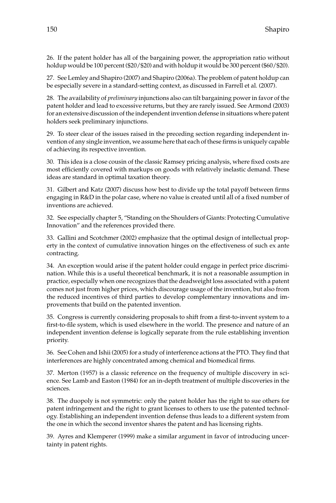26. If the patent holder has all of the bargaining power, the appropriation ratio without holdup would be 100 percent (\$20/\$20) and with holdup it would be 300 percent (\$60/\$20).

27. See Lemley and Shapiro (2007) and Shapiro (2006a). The problem of patent holdup can be especially severe in a standard-setting context, as discussed in Farrell et al. (2007).

28. The availability of *preliminary* injunctions also can tilt bargaining power in favor of the patent holder and lead to excessive returns, but they are rarely issued. See Armond (2003) for an extensive discussion of the independent invention defense in situations where patent holders seek preliminary injunctions.

29. To steer clear of the issues raised in the preceding section regarding independent invention of any single invention, we assume here that each of these firms is uniquely capable of achieving its respective invention.

30. This idea is a close cousin of the classic Ramsey pricing analysis, where fixed costs are most efficiently covered with markups on goods with relatively inelastic demand. These ideas are standard in optimal taxation theory.

31. Gilbert and Katz (2007) discuss how best to divide up the total payoff between firms engaging in R&D in the polar case, where no value is created until all of a fixed number of inventions are achieved.

32. See especially chapter 5, "Standing on the Shoulders of Giants: Protecting Cumulative Innovation" and the references provided there.

33. Gallini and Scotchmer (2002) emphasize that the optimal design of intellectual property in the context of cumulative innovation hinges on the effectiveness of such ex ante contracting.

34. An exception would arise if the patent holder could engage in perfect price discrimination. While this is a useful theoretical benchmark, it is not a reasonable assumption in practice, especially when one recognizes that the deadweight loss associated with a patent comes not just from higher prices, which discourage usage of the invention, but also from the reduced incentives of third parties to develop complementary innovations and improvements that build on the patented invention.

35. Congress is currently considering proposals to shift from a first-to-invent system to a first-to-file system, which is used elsewhere in the world. The presence and nature of an independent invention defense is logically separate from the rule establishing invention priority.

36. See Cohen and Ishii (2005) for a study of interference actions at the PTO. They find that interferences are highly concentrated among chemical and biomedical firms.

37. Merton (1957) is a classic reference on the frequency of multiple discovery in science. See Lamb and Easton (1984) for an in-depth treatment of multiple discoveries in the sciences.

38. The duopoly is not symmetric: only the patent holder has the right to sue others for patent infringement and the right to grant licenses to others to use the patented technology. Establishing an independent invention defense thus leads to a different system from the one in which the second inventor shares the patent and has licensing rights.

39. Ayres and Klemperer (1999) make a similar argument in favor of introducing uncertainty in patent rights.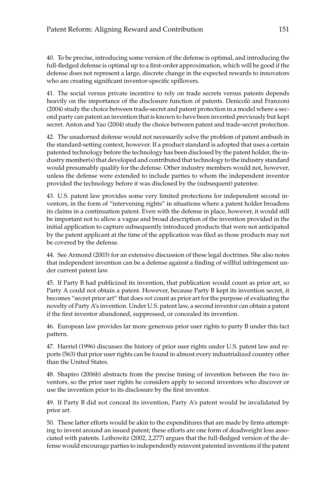40. To be precise, introducing some version of the defense is optimal, and introducing the full-fledged defense is optimal up to a first-order approximation, which will be good if the defense does not represent a large, discrete change in the expected rewards to innovators who are creating significant inventor-specific spillovers.

41. The social versus private incentive to rely on trade secrets versus patents depends heavily on the importance of the disclosure function of patents. Denicolò and Franzoni (2004) study the choice between trade-secret and patent protection in a model where a second party can patent an invention that is known to have been invented previously but kept secret. Anton and Yao (2004) study the choice between patent and trade-secret protection.

42. The unadorned defense would not necessarily solve the problem of patent ambush in the standard-setting context, however. If a product standard is adopted that uses a certain patented technology before the technology has been disclosed by the patent holder, the industry member(s) that developed and contributed that technology to the industry standard would presumably qualify for the defense. Other industry members would not, however, unless the defense were extended to include parties to whom the independent inventor provided the technology before it was disclosed by the (subsequent) patentee.

43. U.S. patent law provides some very limited protections for independent second inventors, in the form of "intervening rights" in situations where a patent holder broadens its claims in a continuation patent. Even with the defense in place, however, it would still be important not to allow a vague and broad description of the invention provided in the initial application to capture subsequently introduced products that were not anticipated by the patent applicant at the time of the application was filed as those products may not be covered by the defense.

44. See Armond (2003) for an extensive discussion of these legal doctrines. She also notes that independent invention can be a defense against a finding of willful infringement under current patent law.

45. If Party B had publicized its invention, that publication would count as prior art, so Party A could not obtain a patent. However, because Party B kept its invention secret, it becomes "secret prior art" that does *not* count as prior art for the purpose of evaluating the novelty of Party A's invention. Under U.S. patent law, a second inventor can obtain a patent if the first inventor abandoned, suppressed, or concealed its invention.

46. European law provides far more generous prior user rights to party B under this fact pattern.

47. Harriel (1996) discusses the history of prior user rights under U.S. patent law and reports (563) that prior user rights can be found in almost every industrialized country other than the United States.

48. Shapiro (2006b) abstracts from the precise timing of invention between the two inventors, so the prior user rights he considers apply to second inventors who discover or use the invention prior to its disclosure by the first inventor.

49. If Party B did not conceal its invention, Party A's patent would be invalidated by prior art.

50. These latter efforts would be akin to the expenditures that are made by firms attempting to invent around an issued patent; these efforts are one form of deadweight loss associated with patents. Leibowitz (2002, 2,277) argues that the full-fledged version of the defense would encourage parties to independently reinvent patented inventions if the patent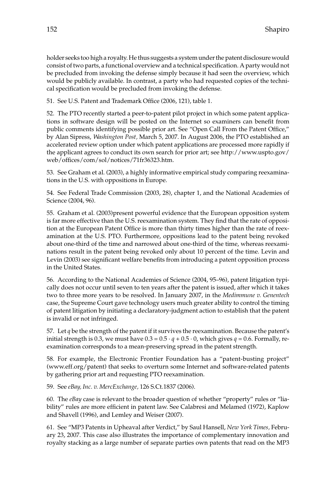holder seeks too high a royalty. He thus suggests a system under the patent disclosure would consist of two parts, a functional overview and a technical specification. A party would not be precluded from invoking the defense simply because it had seen the overview, which would be publicly available. In contrast, a party who had requested copies of the technical specification would be precluded from invoking the defense.

51. See U.S. Patent and Trademark Office (2006, 121), table 1.

52. The PTO recently started a peer-to-patent pilot project in which some patent applications in software design will be posted on the Internet so examiners can benefit from public comments identifying possible prior art. See "Open Call From the Patent Office," by Alan Sipress, *Washington Post,* March 5, 2007. In August 2006, the PTO established an accelerated review option under which patent applications are processed more rapidly if the applicant agrees to conduct its own search for prior art; see http://www.uspto.gov/ web/offices/com/sol/notices/71fr36323.htm.

53. See Graham et al. (2003), a highly informative empirical study comparing reexaminations in the U.S. with oppositions in Europe.

54. See Federal Trade Commission (2003, 28), chapter 1, and the National Academies of Science (2004, 96).

55. Graham et al. (2003)present powerful evidence that the European opposition system is far more effective than the U.S. reexamination system. They find that the rate of opposition at the European Patent Office is more than thirty times higher than the rate of reexamination at the U.S. PTO. Furthermore, oppositions lead to the patent being revoked about one-third of the time and narrowed about one-third of the time, whereas reexaminations result in the patent being revoked only about 10 percent of the time. Levin and Levin (2003) see significant welfare benefits from introducing a patent opposition process in the United States.

56. According to the National Academies of Science (2004, 95–96), patent litigation typically does not occur until seven to ten years after the patent is issued, after which it takes two to three more years to be resolved. In January 2007, in the *Medimmune v. Genentech* case, the Supreme Court gave technology users much greater ability to control the timing of patent litigation by initiating a declaratory-judgment action to establish that the patent is invalid or not infringed.

57. Let *q* be the strength of the patent if it survives the reexamination. Because the patent's initial strength is 0.3, we must have  $0.3 = 0.5 \cdot q + 0.5 \cdot 0$ , which gives  $q = 0.6$ . Formally, reexamination corresponds to a mean-preserving spread in the patent strength.

58. For example, the Electronic Frontier Foundation has a "patent-busting project" (www.eff.org/patent) that seeks to overturn some Internet and software-related patents by gathering prior art and requesting PTO reexamination.

59. See *eBay, Inc. v. MercExchange,* 126 S.Ct.1837 (2006).

60. The *eBay* case is relevant to the broader question of whether "property" rules or "liability" rules are more efficient in patent law. See Calabresi and Melamed (1972), Kaplow and Shavell (1996), and Lemley and Weiser (2007).

61. See "MP3 Patents in Upheaval after Verdict," by Saul Hansell, *New York Times,* February 23, 2007. This case also illustrates the importance of complementary innovation and royalty stacking as a large number of separate parties own patents that read on the MP3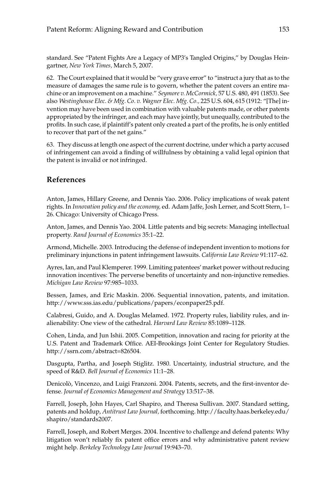standard. See "Patent Fights Are a Legacy of MP3's Tangled Origins," by Douglas Heingartner, *New York Times,* March 5, 2007.

62. The Court explained that it would be "very grave error" to "instruct a jury that as to the measure of damages the same rule is to govern, whether the patent covers an entire machine or an improvement on a machine." *Seymore v. McCormick,* 57 U.S. 480, 491 (1853). See also *Westinghouse Elec. & Mfg. Co. v. Wagner Elec. Mfg. Co.,* 225 U.S. 604, 615 (1912: "[The] invention may have been used in combination with valuable patents made, or other patents appropriated by the infringer, and each may have jointly, but unequally, contributed to the profits. In such case, if plaintiff's patent only created a part of the profits, he is only entitled to recover that part of the net gains."

63. They discuss at length one aspect of the current doctrine, under which a party accused of infringement can avoid a finding of willfulness by obtaining a valid legal opinion that the patent is invalid or not infringed.

# **References**

Anton, James, Hillary Greene, and Dennis Yao. 2006. Policy implications of weak patent rights. In *Innovation policy and the economy,* ed. Adam Jaffe, Josh Lerner, and Scott Stern, 1– 26. Chicago: University of Chicago Press.

Anton, James, and Dennis Yao. 2004. Little patents and big secrets: Managing intellectual property. *Rand Journal of Economics* 35:1–22.

Armond, Michelle. 2003. Introducing the defense of independent invention to motions for preliminary injunctions in patent infringement lawsuits. *California Law Review* 91:117–62.

Ayres, Ian, and Paul Klemperer. 1999. Limiting patentees'market power without reducing innovation incentives: The perverse benefits of uncertainty and non-injunctive remedies. *Michigan Law Review* 97:985–1033.

Bessen, James, and Eric Maskin. 2006. Sequential innovation, patents, and imitation. http://www.sss.ias.edu/publications/papers/econpaper25.pdf.

Calabresi, Guido, and A. Douglas Melamed. 1972. Property rules, liability rules, and inalienability: One view of the cathedral. *Harvard Law Review* 85:1089–1128.

Cohen, Linda, and Jun Ishii. 2005. Competition, innovation and racing for priority at the U.S. Patent and Trademark Office. AEI-Brookings Joint Center for Regulatory Studies. http://ssrn.com/abstract=826504.

Dasgupta, Partha, and Joseph Stiglitz. 1980. Uncertainty, industrial structure, and the speed of R&D. *Bell Journal of Economics* 11:1–28.

Denicolò, Vincenzo, and Luigi Franzoni. 2004. Patents, secrets, and the first-inventor defense. *Journal of Economics Management and Strategy* 13:517–38.

Farrell, Joseph, John Hayes, Carl Shapiro, and Theresa Sullivan. 2007. Standard setting, patents and holdup, *Antitrust Law Journal,* forthcoming. http://faculty.haas.berkeley.edu/ shapiro/standards2007.

Farrell, Joseph, and Robert Merges. 2004. Incentive to challenge and defend patents: Why litigation won't reliably fix patent office errors and why administrative patent review might help. *Berkeley Technology Law Journal* 19:943–70.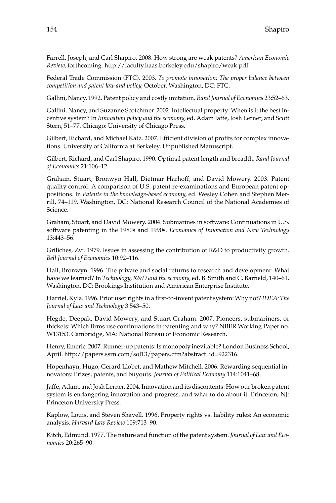Farrell, Joseph, and Carl Shapiro. 2008. How strong are weak patents? *American Economic Review,* forthcoming. http://faculty.haas.berkeley.edu/shapiro/weak.pdf.

Federal Trade Commission (FTC). 2003. *To promote innovation: The proper balance between competition and patent law and policy,* October. Washington, DC: FTC.

Gallini, Nancy. 1992. Patent policy and costly imitation. *Rand Journal of Economics* 23:52–63.

Gallini, Nancy, and Suzanne Scotchmer. 2002. Intellectual property: When is it the best incentive system? In *Innovation policy and the economy,* ed. Adam Jaffe, Josh Lerner, and Scott Stern, 51–77. Chicago: University of Chicago Press.

Gilbert, Richard, and Michael Katz. 2007. Efficient division of profits for complex innovations. University of California at Berkeley. Unpublished Manuscript.

Gilbert, Richard, and Carl Shapiro. 1990. Optimal patent length and breadth. *Rand Journal of Economics* 21:106–12.

Graham, Stuart, Bronwyn Hall, Dietmar Harhoff, and David Mowery. 2003. Patent quality control: A comparison of U.S. patent re-examinations and European patent oppositions. In *Patents in the knowledge-based economy,* ed. Wesley Cohen and Stephen Merrill, 74–119. Washington, DC: National Research Council of the National Academies of Science.

Graham, Stuart, and David Mowery. 2004. Submarines in software: Continuations in U.S. software patenting in the 1980s and 1990s. *Economics of Innovation and New Technology* 13:443–56.

Griliches, Zvi. 1979. Issues in assessing the contribution of R&D to productivity growth. *Bell Journal of Economics* 10:92–116.

Hall, Bronwyn. 1996. The private and social returns to research and development: What have we learned? In *Technology, R&D and the economy,* ed. B. Smith and C. Barfield, 140–61. Washington, DC: Brookings Institution and American Enterprise Institute.

Harriel, Kyla. 1996. Prior user rights in a first-to-invent patent system: Why not? *IDEA: The Journal of Law and Technology* 3:543–50.

Hegde, Deepak, David Mowery, and Stuart Graham. 2007. Pioneers, submariners, or thickets: Which firms use continuations in patenting and why? NBER Working Paper no. W13153. Cambridge, MA: National Bureau of Economic Research.

Henry, Emeric. 2007. Runner-up patents: Is monopoly inevitable? London Business School, April. http://papers.ssrn.com/sol13/papers.cfm?abstract\_id=922316.

Hopenhayn, Hugo, Gerard Llobet, and Mathew Mitchell. 2006. Rewarding sequential innovators: Prizes, patents, and buyouts. *Journal of Political Economy* 114:1041–68.

Jaffe, Adam, and Josh Lerner. 2004. Innovation and its discontents: How our broken patent system is endangering innovation and progress, and what to do about it. Princeton, NJ: Princeton University Press.

Kaplow, Louis, and Steven Shavell. 1996. Property rights vs. liability rules: An economic analysis. *Harvard Law Review* 109:713–90.

Kitch, Edmund. 1977. The nature and function of the patent system. *Journal of Law and Economics* 20:265–90.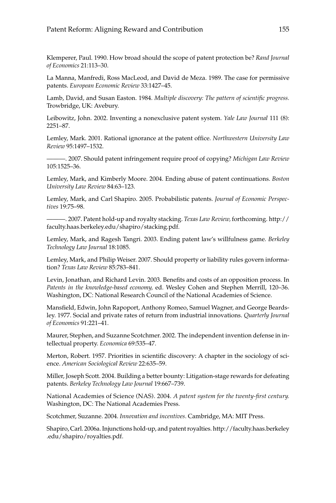Klemperer, Paul. 1990. How broad should the scope of patent protection be? *Rand Journal of Economics* 21:113–30.

La Manna, Manfredi, Ross MacLeod, and David de Meza. 1989. The case for permissive patents. *European Economic Review* 33:1427–45.

Lamb, David, and Susan Easton. 1984. *Multiple discovery: The pattern of scientific progress.* Trowbridge, UK: Avebury.

Leibowitz, John. 2002. Inventing a nonexclusive patent system. *Yale Law Journal* 111 (8): 2251–87.

Lemley, Mark. 2001. Rational ignorance at the patent office. *Northwestern University Law Review* 95:1497–1532.

———. 2007. Should patent infringement require proof of copying? *Michigan Law Review* 105:1525–36.

Lemley, Mark, and Kimberly Moore. 2004. Ending abuse of patent continuations. *Boston University Law Review* 84:63–123.

Lemley, Mark, and Carl Shapiro. 2005. Probabilistic patents. *Journal of Economic Perspectives* 19:75–98.

———. 2007. Patent hold-up and royalty stacking. *Texas Law Review,* forthcoming. http:// faculty.haas.berkeley.edu/shapiro/stacking.pdf.

Lemley, Mark, and Ragesh Tangri. 2003. Ending patent law's willfulness game. *Berkeley Technology Law Journal* 18:1085.

Lemley, Mark, and Philip Weiser. 2007. Should property or liability rules govern information? *Texas Law Review* 85:783–841.

Levin, Jonathan, and Richard Levin. 2003. Benefits and costs of an opposition process. In *Patents in the knowledge-based economy,* ed. Wesley Cohen and Stephen Merrill, 120–36. Washington, DC: National Research Council of the National Academies of Science.

Mansfield, Edwin, John Rapoport, Anthony Romeo, Samuel Wagner, and George Beardsley. 1977. Social and private rates of return from industrial innovations. *Quarterly Journal of Economics* 91:221–41.

Maurer, Stephen, and Suzanne Scotchmer. 2002. The independent invention defense in intellectual property. *Economica* 69:535–47.

Merton, Robert. 1957. Priorities in scientific discovery: A chapter in the sociology of science. *American Sociological Review* 22:635–59.

Miller, Joseph Scott. 2004. Building a better bounty: Litigation-stage rewards for defeating patents. *Berkeley Technology Law Journal* 19:667–739.

National Academies of Science (NAS). 2004. *A patent system for the twenty-first century.* Washington, DC: The National Academies Press.

Scotchmer, Suzanne. 2004. *Innovation and incentives.* Cambridge, MA: MIT Press.

Shapiro, Carl. 2006a. Injunctions hold-up, and patent royalties. http://faculty.haas.berkeley .edu/shapiro/royalties.pdf.